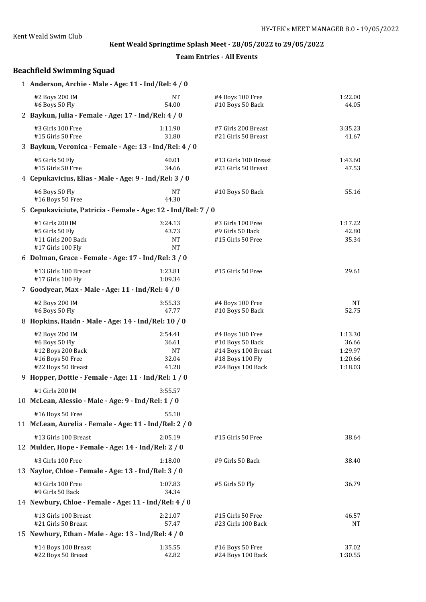**Team Entries - All Events**

# **Beachfield Swimming Squad**

| 1 Anderson, Archie - Male - Age: 11 - Ind/Rel: 4 / 0          |                  |                                         |                    |
|---------------------------------------------------------------|------------------|-----------------------------------------|--------------------|
| #2 Boys 200 IM                                                | <b>NT</b>        | #4 Boys 100 Free                        | 1:22.00            |
| #6 Boys 50 Fly                                                | 54.00            | #10 Boys 50 Back                        | 44.05              |
| 2 Baykun, Julia - Female - Age: 17 - Ind/Rel: 4 / 0           |                  |                                         |                    |
| #3 Girls 100 Free                                             | 1:11.90          | #7 Girls 200 Breast                     | 3:35.23            |
| #15 Girls 50 Free                                             | 31.80            | #21 Girls 50 Breast                     | 41.67              |
| 3 Baykun, Veronica - Female - Age: 13 - Ind/Rel: 4 / 0        |                  |                                         |                    |
| #5 Girls 50 Fly                                               | 40.01            | #13 Girls 100 Breast                    | 1:43.60            |
| #15 Girls 50 Free                                             | 34.66            | #21 Girls 50 Breast                     | 47.53              |
| 4 Cepukavicius, Elias - Male - Age: 9 - Ind/Rel: 3 / 0        |                  |                                         |                    |
| #6 Boys 50 Fly                                                | <b>NT</b>        | #10 Boys 50 Back                        | 55.16              |
| #16 Boys 50 Free                                              | 44.30            |                                         |                    |
| 5 Cepukaviciute, Patricia - Female - Age: 12 - Ind/Rel: 7 / 0 |                  |                                         |                    |
| #1 Girls 200 IM                                               | 3:24.13          | #3 Girls 100 Free                       | 1:17.22            |
| #5 Girls 50 Fly                                               | 43.73            | #9 Girls 50 Back                        | 42.80              |
| #11 Girls 200 Back<br>#17 Girls 100 Fly                       | <b>NT</b><br>NT  | #15 Girls 50 Free                       | 35.34              |
| 6 Dolman, Grace - Female - Age: 17 - Ind/Rel: 3 / 0           |                  |                                         |                    |
|                                                               |                  |                                         |                    |
| #13 Girls 100 Breast                                          | 1:23.81          | #15 Girls 50 Free                       | 29.61              |
| #17 Girls 100 Fly                                             | 1:09.34          |                                         |                    |
| 7 Goodyear, Max - Male - Age: 11 - Ind/Rel: 4 / 0             |                  |                                         |                    |
| #2 Boys 200 IM                                                | 3:55.33          | #4 Boys 100 Free                        | <b>NT</b>          |
| #6 Boys 50 Fly                                                | 47.77            | #10 Boys 50 Back                        | 52.75              |
| 8 Hopkins, Haidn - Male - Age: 14 - Ind/Rel: 10 / 0           |                  |                                         |                    |
| #2 Boys 200 IM                                                | 2:54.41          | #4 Boys 100 Free                        | 1:13.30            |
| #6 Boys 50 Fly                                                | 36.61            | #10 Boys 50 Back                        | 36.66              |
| #12 Boys 200 Back<br>#16 Boys 50 Free                         | <b>NT</b>        | #14 Boys 100 Breast                     | 1:29.97            |
| #22 Boys 50 Breast                                            | 32.04<br>41.28   | #18 Boys 100 Fly<br>#24 Boys 100 Back   | 1:20.66<br>1:18.03 |
| 9 Hopper, Dottie - Female - Age: 11 - Ind/Rel: 1 / 0          |                  |                                         |                    |
|                                                               |                  |                                         |                    |
| #1 Girls 200 IM                                               | 3:55.57          |                                         |                    |
| 10 McLean, Alessio - Male - Age: 9 - Ind/Rel: 1 / 0           |                  |                                         |                    |
| #16 Boys 50 Free                                              | 55.10            |                                         |                    |
| 11 McLean, Aurelia - Female - Age: 11 - Ind/Rel: 2 / 0        |                  |                                         |                    |
| #13 Girls 100 Breast                                          | 2:05.19          | #15 Girls 50 Free                       | 38.64              |
| 12 Mulder, Hope - Female - Age: 14 - Ind/Rel: 2 / 0           |                  |                                         |                    |
| #3 Girls 100 Free                                             | 1:18.00          | #9 Girls 50 Back                        | 38.40              |
| 13 Naylor, Chloe - Female - Age: 13 - Ind/Rel: 3 / 0          |                  |                                         |                    |
|                                                               |                  |                                         |                    |
| #3 Girls 100 Free<br>#9 Girls 50 Back                         | 1:07.83<br>34.34 | #5 Girls 50 Fly                         | 36.79              |
| 14 Newbury, Chloe - Female - Age: 11 - Ind/Rel: 4 / 0         |                  |                                         |                    |
|                                                               |                  |                                         |                    |
| #13 Girls 100 Breast<br>#21 Girls 50 Breast                   | 2:21.07<br>57.47 | #15 Girls 50 Free<br>#23 Girls 100 Back | 46.57<br>NT        |
| 15 Newbury, Ethan - Male - Age: 13 - Ind/Rel: 4 / 0           |                  |                                         |                    |
|                                                               |                  |                                         |                    |
| #14 Boys 100 Breast<br>#22 Boys 50 Breast                     | 1:35.55<br>42.82 | #16 Boys 50 Free<br>#24 Boys 100 Back   | 37.02<br>1:30.55   |
|                                                               |                  |                                         |                    |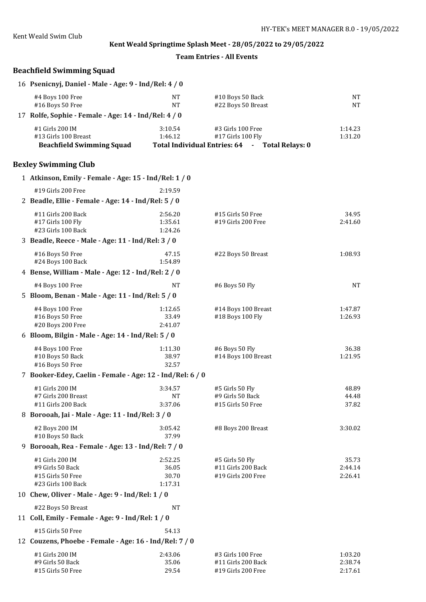**Team Entries - All Events**

# **Beachfield Swimming Squad**

| 16 Psenicnyj, Daniel - Male - Age: 9 - Ind/Rel: 4 / 0 |           |                                                |         |  |  |
|-------------------------------------------------------|-----------|------------------------------------------------|---------|--|--|
| #4 Boys 100 Free                                      | NT        | #10 Boys 50 Back                               | NT      |  |  |
| #16 Boys 50 Free                                      | <b>NT</b> | #22 Boys 50 Breast                             | NT      |  |  |
| 17 Rolfe, Sophie - Female - Age: 14 - Ind/Rel: 4 / 0  |           |                                                |         |  |  |
| #1 Girls 200 IM                                       | 3:10.54   | #3 Girls 100 Free                              | 1:14.23 |  |  |
| #13 Girls 100 Breast                                  | 1:46.12   | $#17$ Girls 100 Fly                            | 1:31.20 |  |  |
| <b>Beachfield Swimming Squad</b>                      |           | Total Individual Entries: 64 - Total Relays: 0 |         |  |  |

# **Bexley Swimming Club**

| 1 Atkinson, Emily - Female - Age: 15 - Ind/Rel: 1 / 0                          |                                      |                                                               |                               |
|--------------------------------------------------------------------------------|--------------------------------------|---------------------------------------------------------------|-------------------------------|
| #19 Girls 200 Free                                                             | 2:19.59                              |                                                               |                               |
| 2 Beadle, Ellie - Female - Age: 14 - Ind/Rel: 5 / 0                            |                                      |                                                               |                               |
| #11 Girls 200 Back<br>#17 Girls 100 Fly<br>#23 Girls 100 Back                  | 2:56.20<br>1:35.61<br>1:24.26        | #15 Girls 50 Free<br>#19 Girls 200 Free                       | 34.95<br>2:41.60              |
| 3 Beadle, Reece - Male - Age: 11 - Ind/Rel: 3 / 0                              |                                      |                                                               |                               |
| #16 Boys 50 Free<br>#24 Boys 100 Back                                          | 47.15<br>1:54.89                     | #22 Boys 50 Breast                                            | 1:08.93                       |
| 4 Bense, William - Male - Age: 12 - Ind/Rel: 2 / 0                             |                                      |                                                               |                               |
| #4 Boys 100 Free                                                               | NT                                   | #6 Boys 50 Fly                                                | <b>NT</b>                     |
| 5 Bloom, Benan - Male - Age: 11 - Ind/Rel: 5 / 0                               |                                      |                                                               |                               |
| #4 Boys 100 Free<br>#16 Boys 50 Free<br>#20 Boys 200 Free                      | 1:12.65<br>33.49<br>2:41.07          | #14 Boys 100 Breast<br>#18 Boys 100 Fly                       | 1:47.87<br>1:26.93            |
| 6 Bloom, Bilgin - Male - Age: 14 - Ind/Rel: 5 / 0                              |                                      |                                                               |                               |
| #4 Boys 100 Free<br>#10 Boys 50 Back<br>#16 Boys 50 Free                       | 1:11.30<br>38.97<br>32.57            | #6 Boys 50 Fly<br>#14 Boys 100 Breast                         | 36.38<br>1:21.95              |
| 7 Booker-Edey, Caelin - Female - Age: 12 - Ind/Rel: 6 / 0                      |                                      |                                                               |                               |
| #1 Girls 200 IM<br>#7 Girls 200 Breast<br>#11 Girls 200 Back                   | 3:34.57<br>NT<br>3:37.06             | #5 Girls 50 Fly<br>#9 Girls 50 Back<br>#15 Girls 50 Free      | 48.89<br>44.48<br>37.82       |
| 8 Borooah, Jai - Male - Age: 11 - Ind/Rel: 3 / 0                               |                                      |                                                               |                               |
| #2 Boys 200 IM<br>#10 Boys 50 Back                                             | 3:05.42<br>37.99                     | #8 Boys 200 Breast                                            | 3:30.02                       |
| 9 Borooah, Rea - Female - Age: 13 - Ind/Rel: 7 / 0                             |                                      |                                                               |                               |
| #1 Girls 200 IM<br>#9 Girls 50 Back<br>#15 Girls 50 Free<br>#23 Girls 100 Back | 2:52.25<br>36.05<br>30.70<br>1:17.31 | #5 Girls 50 Fly<br>#11 Girls 200 Back<br>#19 Girls 200 Free   | 35.73<br>2:44.14<br>2:26.41   |
| 10 Chew, Oliver - Male - Age: 9 - Ind/Rel: 1 / 0                               |                                      |                                                               |                               |
| #22 Boys 50 Breast<br>11 Coll, Emily - Female - Age: 9 - Ind/Rel: 1 / 0        | <b>NT</b>                            |                                                               |                               |
| #15 Girls 50 Free                                                              | 54.13                                |                                                               |                               |
| 12 Couzens, Phoebe - Female - Age: 16 - Ind/Rel: 7 / 0                         |                                      |                                                               |                               |
| #1 Girls 200 IM<br>#9 Girls 50 Back<br>#15 Girls 50 Free                       | 2:43.06<br>35.06<br>29.54            | #3 Girls 100 Free<br>#11 Girls 200 Back<br>#19 Girls 200 Free | 1:03.20<br>2:38.74<br>2:17.61 |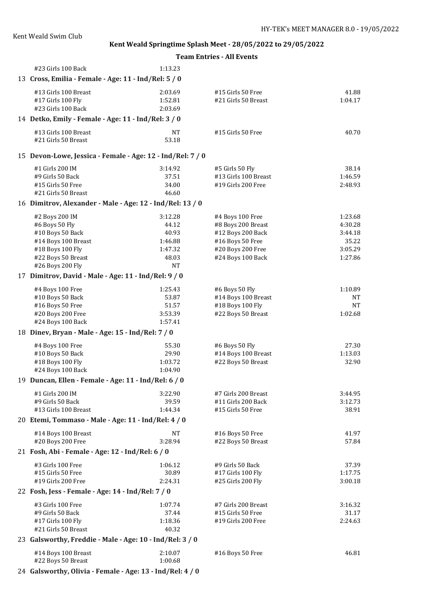**Team Entries - All Events**

| #23 Girls 100 Back                                         | 1:13.23            |                                          |                  |
|------------------------------------------------------------|--------------------|------------------------------------------|------------------|
| 13 Cross, Emilia - Female - Age: 11 - Ind/Rel: 5 / 0       |                    |                                          |                  |
| #13 Girls 100 Breast<br>#17 Girls 100 Fly                  | 2:03.69<br>1:52.81 | #15 Girls 50 Free<br>#21 Girls 50 Breast | 41.88<br>1:04.17 |
| #23 Girls 100 Back                                         | 2:03.69            |                                          |                  |
| 14 Detko, Emily - Female - Age: 11 - Ind/Rel: 3 / 0        |                    |                                          |                  |
| #13 Girls 100 Breast<br>#21 Girls 50 Breast                | NT<br>53.18        | #15 Girls 50 Free                        | 40.70            |
| 15 Devon-Lowe, Jessica - Female - Age: 12 - Ind/Rel: 7 / 0 |                    |                                          |                  |
| #1 Girls 200 IM                                            | 3:14.92            | #5 Girls 50 Fly                          | 38.14            |
| #9 Girls 50 Back                                           | 37.51              | #13 Girls 100 Breast                     | 1:46.59          |
| #15 Girls 50 Free                                          | 34.00              | #19 Girls 200 Free                       | 2:48.93          |
| #21 Girls 50 Breast                                        | 46.60              |                                          |                  |
| 16 Dimitrov, Alexander - Male - Age: 12 - Ind/Rel: 13 / 0  |                    |                                          |                  |
| #2 Boys 200 IM                                             | 3:12.28            | #4 Boys 100 Free                         | 1:23.68          |
| #6 Boys 50 Fly                                             | 44.12              | #8 Boys 200 Breast                       | 4:30.28          |
| #10 Boys 50 Back                                           | 40.93              | #12 Boys 200 Back                        | 3:44.18          |
| #14 Boys 100 Breast                                        | 1:46.88            | #16 Boys 50 Free                         | 35.22            |
| #18 Boys 100 Fly                                           | 1:47.32            | #20 Boys 200 Free                        | 3:05.29          |
| #22 Boys 50 Breast                                         | 48.03              | #24 Boys 100 Back                        | 1:27.86          |
| #26 Boys 200 Fly                                           | <b>NT</b>          |                                          |                  |
| 17 Dimitrov, David - Male - Age: 11 - Ind/Rel: 9 / 0       |                    |                                          |                  |
| #4 Boys 100 Free                                           | 1:25.43            | #6 Boys 50 Fly                           | 1:10.89          |
| #10 Boys 50 Back                                           | 53.87              | #14 Boys 100 Breast                      | NT               |
| #16 Boys 50 Free                                           | 51.57              | #18 Boys 100 Fly                         | <b>NT</b>        |
| #20 Boys 200 Free                                          | 3:53.39            | #22 Boys 50 Breast                       | 1:02.68          |
| #24 Boys 100 Back                                          | 1:57.41            |                                          |                  |
| 18 Dinev, Bryan - Male - Age: 15 - Ind/Rel: 7 / 0          |                    |                                          |                  |
| #4 Boys 100 Free                                           | 55.30              | #6 Boys 50 Fly                           | 27.30            |
| #10 Boys 50 Back                                           | 29.90              | #14 Boys 100 Breast                      | 1:13.03          |
| #18 Boys 100 Fly                                           | 1:03.72            | #22 Boys 50 Breast                       | 32.90            |
| #24 Boys 100 Back                                          | 1:04.90            |                                          |                  |
| 19 Duncan, Ellen - Female - Age: 11 - Ind/Rel: 6 / 0       |                    |                                          |                  |
| #1 Girls 200 IM                                            | 3:22.90            | #7 Girls 200 Breast                      | 3:44.95          |
| #9 Girls 50 Back                                           | 39.59              | #11 Girls 200 Back                       | 3:12.73          |
| #13 Girls 100 Breast                                       | 1:44.34            | #15 Girls 50 Free                        | 38.91            |
| 20 Etemi, Tommaso - Male - Age: 11 - Ind/Rel: 4 / 0        |                    |                                          |                  |
| #14 Boys 100 Breast                                        | <b>NT</b>          | #16 Boys 50 Free                         | 41.97            |
| #20 Boys 200 Free                                          | 3:28.94            | #22 Boys 50 Breast                       | 57.84            |
| 21 Fosh, Abi - Female - Age: 12 - Ind/Rel: 6 / 0           |                    |                                          |                  |
| #3 Girls 100 Free                                          | 1:06.12            | #9 Girls 50 Back                         | 37.39            |
| #15 Girls 50 Free                                          | 30.89              | #17 Girls 100 Fly                        | 1:17.75          |
| #19 Girls 200 Free                                         | 2:24.31            | #25 Girls 200 Fly                        | 3:00.18          |
| 22 Fosh, Jess - Female - Age: 14 - Ind/Rel: 7 / 0          |                    |                                          |                  |
| #3 Girls 100 Free                                          | 1:07.74            | #7 Girls 200 Breast                      | 3:16.32          |
| #9 Girls 50 Back                                           | 37.44              | #15 Girls 50 Free                        | 31.17            |
| #17 Girls 100 Fly                                          | 1:18.36            | #19 Girls 200 Free                       | 2:24.63          |
| #21 Girls 50 Breast                                        | 40.32              |                                          |                  |
| 23 Galsworthy, Freddie - Male - Age: 10 - Ind/Rel: 3 / 0   |                    |                                          |                  |
| #14 Boys 100 Breast                                        | 2:10.07            | #16 Boys 50 Free                         | 46.81            |
| #22 Boys 50 Breast                                         | 1:00.68            |                                          |                  |

24 **Galsworthy, Olivia - Female - Age: 13 - Ind/Rel: 4 / 0**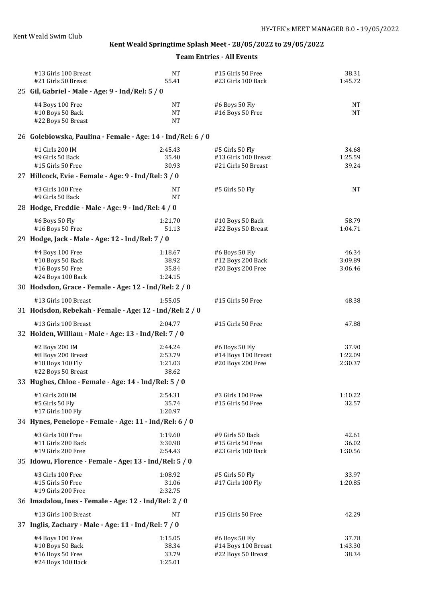| #13 Girls 100 Breast<br>#21 Girls 50 Breast                 | <b>NT</b><br>55.41 | #15 Girls 50 Free<br>#23 Girls 100 Back | 38.31<br>1:45.72 |
|-------------------------------------------------------------|--------------------|-----------------------------------------|------------------|
| 25 Gil, Gabriel - Male - Age: 9 - Ind/Rel: 5 / 0            |                    |                                         |                  |
| #4 Boys 100 Free                                            | NT                 | #6 Boys 50 Fly                          | NT               |
| #10 Boys 50 Back                                            | NT                 | #16 Boys 50 Free                        | <b>NT</b>        |
| #22 Boys 50 Breast                                          | NT                 |                                         |                  |
| 26 Golebiowska, Paulina - Female - Age: 14 - Ind/Rel: 6 / 0 |                    |                                         |                  |
| #1 Girls 200 IM                                             | 2:45.43            | #5 Girls 50 Fly                         | 34.68            |
| #9 Girls 50 Back                                            | 35.40              | #13 Girls 100 Breast                    | 1:25.59          |
| #15 Girls 50 Free                                           | 30.93              | #21 Girls 50 Breast                     | 39.24            |
| 27 Hillcock, Evie - Female - Age: 9 - Ind/Rel: 3 / 0        |                    |                                         |                  |
| #3 Girls 100 Free<br>#9 Girls 50 Back                       | NT<br><b>NT</b>    | #5 Girls 50 Fly                         | <b>NT</b>        |
| 28 Hodge, Freddie - Male - Age: 9 - Ind/Rel: 4 / 0          |                    |                                         |                  |
|                                                             |                    |                                         |                  |
| #6 Boys 50 Fly                                              | 1:21.70            | #10 Boys 50 Back                        | 58.79            |
| #16 Boys 50 Free                                            | 51.13              | #22 Boys 50 Breast                      | 1:04.71          |
| 29 Hodge, Jack - Male - Age: 12 - Ind/Rel: 7 / 0            |                    |                                         |                  |
| #4 Boys 100 Free                                            | 1:18.67            | #6 Boys 50 Fly                          | 46.34            |
| #10 Boys 50 Back                                            | 38.92              | #12 Boys 200 Back                       | 3:09.89          |
| #16 Boys 50 Free<br>#24 Boys 100 Back                       | 35.84<br>1:24.15   | #20 Boys 200 Free                       | 3:06.46          |
| 30 Hodsdon, Grace - Female - Age: 12 - Ind/Rel: 2 / 0       |                    |                                         |                  |
| #13 Girls 100 Breast                                        | 1:55.05            | #15 Girls 50 Free                       | 48.38            |
| 31 Hodsdon, Rebekah - Female - Age: 12 - Ind/Rel: 2 / 0     |                    |                                         |                  |
|                                                             |                    |                                         |                  |
| #13 Girls 100 Breast                                        | 2:04.77            | #15 Girls 50 Free                       | 47.88            |
| 32 Holden, William - Male - Age: 13 - Ind/Rel: 7 / 0        |                    |                                         |                  |
| #2 Boys 200 IM                                              | 2:44.24            | #6 Boys 50 Fly                          | 37.90            |
| #8 Boys 200 Breast                                          | 2:53.79            | #14 Boys 100 Breast                     | 1:22.09          |
| #18 Boys 100 Fly<br>#22 Boys 50 Breast                      | 1:21.03<br>38.62   | #20 Boys 200 Free                       | 2:30.37          |
| 33 Hughes, Chloe - Female - Age: 14 - Ind/Rel: 5 / 0        |                    |                                         |                  |
|                                                             |                    |                                         |                  |
| #1 Girls 200 IM<br>#5 Girls 50 Fly                          | 2:54.31<br>35.74   | #3 Girls 100 Free<br>#15 Girls 50 Free  | 1:10.22<br>32.57 |
| #17 Girls 100 Fly                                           | 1:20.97            |                                         |                  |
| 34 Hynes, Penelope - Female - Age: 11 - Ind/Rel: 6 / 0      |                    |                                         |                  |
| #3 Girls 100 Free                                           | 1:19.60            | #9 Girls 50 Back                        | 42.61            |
| #11 Girls 200 Back                                          | 3:30.98            | #15 Girls 50 Free                       | 36.02            |
| #19 Girls 200 Free                                          | 2:54.43            | #23 Girls 100 Back                      | 1:30.56          |
| 35 Idowu, Florence - Female - Age: 13 - Ind/Rel: 5 / 0      |                    |                                         |                  |
| #3 Girls 100 Free                                           | 1:08.92            | #5 Girls 50 Fly                         | 33.97            |
| #15 Girls 50 Free                                           | 31.06              | #17 Girls 100 Fly                       | 1:20.85          |
| #19 Girls 200 Free                                          | 2:32.75            |                                         |                  |
| 36 Imadalou, Ines - Female - Age: 12 - Ind/Rel: 2 / 0       |                    |                                         |                  |
| #13 Girls 100 Breast                                        | NT                 | #15 Girls 50 Free                       | 42.29            |
| 37 Inglis, Zachary - Male - Age: 11 - Ind/Rel: 7 / 0        |                    |                                         |                  |
| #4 Boys 100 Free                                            | 1:15.05            | #6 Boys 50 Fly                          | 37.78            |
| #10 Boys 50 Back                                            | 38.34              | #14 Boys 100 Breast                     | 1:43.30          |
| #16 Boys 50 Free<br>#24 Boys 100 Back                       | 33.79<br>1:25.01   | #22 Boys 50 Breast                      | 38.34            |
|                                                             |                    |                                         |                  |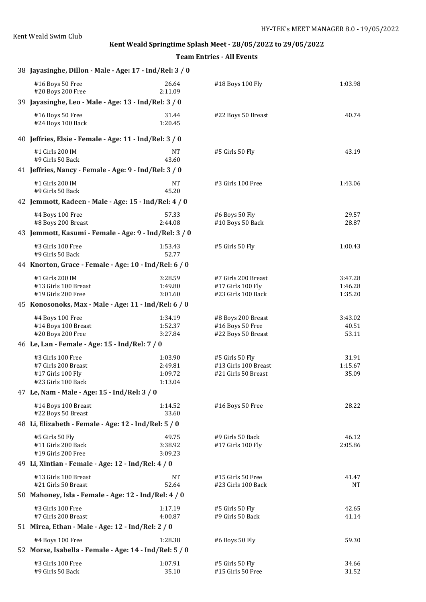| 38 Jayasinghe, Dillon - Male - Age: 17 - Ind/Rel: 3 / 0                             |                                          |                                                                |                               |
|-------------------------------------------------------------------------------------|------------------------------------------|----------------------------------------------------------------|-------------------------------|
| #16 Boys 50 Free<br>#20 Boys 200 Free                                               | 26.64<br>2:11.09                         | #18 Boys 100 Fly                                               | 1:03.98                       |
| 39 Jayasinghe, Leo - Male - Age: 13 - Ind/Rel: 3 / 0                                |                                          |                                                                |                               |
| #16 Boys 50 Free<br>#24 Boys 100 Back                                               | 31.44<br>1:20.45                         | #22 Boys 50 Breast                                             | 40.74                         |
| 40 Jeffries, Elsie - Female - Age: 11 - Ind/Rel: 3 / 0                              |                                          |                                                                |                               |
| #1 Girls 200 IM<br>#9 Girls 50 Back                                                 | NT<br>43.60                              | #5 Girls 50 Fly                                                | 43.19                         |
| 41 Jeffries, Nancy - Female - Age: 9 - Ind/Rel: 3 / 0                               |                                          |                                                                |                               |
| #1 Girls 200 IM<br>#9 Girls 50 Back                                                 | <b>NT</b><br>45.20                       | #3 Girls 100 Free                                              | 1:43.06                       |
| 42 Jemmott, Kadeen - Male - Age: 15 - Ind/Rel: 4 / 0                                |                                          |                                                                |                               |
| #4 Boys 100 Free<br>#8 Boys 200 Breast                                              | 57.33<br>2:44.08                         | #6 Boys 50 Fly<br>#10 Boys 50 Back                             | 29.57<br>28.87                |
| 43 Jemmott, Kasumi - Female - Age: 9 - Ind/Rel: 3 / 0                               |                                          |                                                                |                               |
| #3 Girls 100 Free<br>#9 Girls 50 Back                                               | 1:53.43<br>52.77                         | #5 Girls 50 Fly                                                | 1:00.43                       |
| 44 Knorton, Grace - Female - Age: 10 - Ind/Rel: 6 / 0                               |                                          |                                                                |                               |
| #1 Girls 200 IM<br>#13 Girls 100 Breast<br>#19 Girls 200 Free                       | 3:28.59<br>1:49.80<br>3:01.60            | #7 Girls 200 Breast<br>#17 Girls 100 Fly<br>#23 Girls 100 Back | 3:47.28<br>1:46.28<br>1:35.20 |
| 45 Konosonoks, Max - Male - Age: 11 - Ind/Rel: 6 / 0                                |                                          |                                                                |                               |
| #4 Boys 100 Free<br>#14 Boys 100 Breast<br>#20 Boys 200 Free                        | 1:34.19<br>1:52.37<br>3:27.84            | #8 Boys 200 Breast<br>#16 Boys 50 Free<br>#22 Boys 50 Breast   | 3:43.02<br>40.51<br>53.11     |
| 46 Le, Lan - Female - Age: 15 - Ind/Rel: 7 / 0                                      |                                          |                                                                |                               |
| #3 Girls 100 Free<br>#7 Girls 200 Breast<br>#17 Girls 100 Fly<br>#23 Girls 100 Back | 1:03.90<br>2:49.81<br>1:09.72<br>1:13.04 | #5 Girls 50 Fly<br>#13 Girls 100 Breast<br>#21 Girls 50 Breast | 31.91<br>1:15.67<br>35.09     |
| 47 Le, Nam - Male - Age: 15 - Ind/Rel: 3 / 0                                        |                                          |                                                                |                               |
| #14 Boys 100 Breast<br>#22 Boys 50 Breast                                           | 1:14.52<br>33.60                         | #16 Boys 50 Free                                               | 28.22                         |
| 48 Li, Elizabeth - Female - Age: 12 - Ind/Rel: 5 / 0                                |                                          |                                                                |                               |
| #5 Girls 50 Fly<br>#11 Girls 200 Back<br>#19 Girls 200 Free                         | 49.75<br>3:38.92<br>3:09.23              | #9 Girls 50 Back<br>#17 Girls 100 Fly                          | 46.12<br>2:05.86              |
| 49 Li, Xintian - Female - Age: 12 - Ind/Rel: 4 / 0                                  |                                          |                                                                |                               |
| #13 Girls 100 Breast<br>#21 Girls 50 Breast                                         | <b>NT</b><br>52.64                       | #15 Girls 50 Free<br>#23 Girls 100 Back                        | 41.47<br>NT                   |
| 50 Mahoney, Isla - Female - Age: 12 - Ind/Rel: 4 / 0                                |                                          |                                                                |                               |
| #3 Girls 100 Free<br>#7 Girls 200 Breast                                            | 1:17.19<br>4:00.87                       | #5 Girls 50 Fly<br>#9 Girls 50 Back                            | 42.65<br>41.14                |
| 51 Mirea, Ethan - Male - Age: 12 - Ind/Rel: 2 / 0                                   |                                          |                                                                |                               |
| #4 Boys 100 Free<br>52 Morse, Isabella - Female - Age: 14 - Ind/Rel: 5 / 0          | 1:28.38                                  | #6 Boys 50 Fly                                                 | 59.30                         |
| #3 Girls 100 Free<br>#9 Girls 50 Back                                               | 1:07.91<br>35.10                         | #5 Girls 50 Fly<br>#15 Girls 50 Free                           | 34.66<br>31.52                |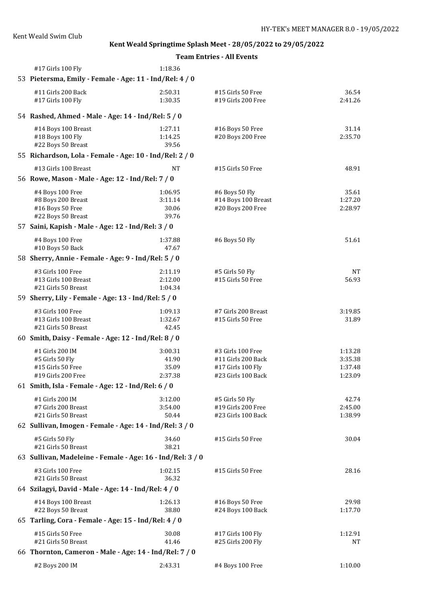| #17 Girls 100 Fly                                                             | 1:18.36            |                                         |                    |  |
|-------------------------------------------------------------------------------|--------------------|-----------------------------------------|--------------------|--|
| 53 Pietersma, Emily - Female - Age: 11 - Ind/Rel: 4 / 0                       |                    |                                         |                    |  |
| #11 Girls 200 Back                                                            | 2:50.31            | #15 Girls 50 Free                       | 36.54              |  |
| #17 Girls 100 Fly                                                             | 1:30.35            | #19 Girls 200 Free                      | 2:41.26            |  |
| 54 Rashed, Ahmed - Male - Age: 14 - Ind/Rel: 5 / 0                            |                    |                                         |                    |  |
| #14 Boys 100 Breast                                                           | 1:27.11            | #16 Boys 50 Free                        | 31.14              |  |
| #18 Boys 100 Fly                                                              | 1:14.25            | #20 Boys 200 Free                       | 2:35.70            |  |
| #22 Boys 50 Breast<br>55 Richardson, Lola - Female - Age: 10 - Ind/Rel: 2 / 0 | 39.56              |                                         |                    |  |
|                                                                               |                    |                                         |                    |  |
| #13 Girls 100 Breast                                                          | NT                 | #15 Girls 50 Free                       | 48.91              |  |
| 56 Rowe, Mason - Male - Age: 12 - Ind/Rel: 7 / 0                              |                    |                                         |                    |  |
| #4 Boys 100 Free                                                              | 1:06.95            | #6 Boys 50 Fly                          | 35.61              |  |
| #8 Boys 200 Breast                                                            | 3:11.14            | #14 Boys 100 Breast                     | 1:27.20            |  |
| #16 Boys 50 Free<br>#22 Boys 50 Breast                                        | 30.06<br>39.76     | #20 Boys 200 Free                       | 2:28.97            |  |
| 57 Saini, Kapish - Male - Age: 12 - Ind/Rel: 3 / 0                            |                    |                                         |                    |  |
|                                                                               |                    |                                         |                    |  |
| #4 Boys 100 Free                                                              | 1:37.88            | #6 Boys 50 Fly                          | 51.61              |  |
| #10 Boys 50 Back                                                              | 47.67              |                                         |                    |  |
| 58 Sherry, Annie - Female - Age: 9 - Ind/Rel: 5 / 0                           |                    |                                         |                    |  |
| #3 Girls 100 Free                                                             | 2:11.19            | #5 Girls 50 Fly                         | NT                 |  |
| #13 Girls 100 Breast                                                          | 2:12.00<br>1:04.34 | #15 Girls 50 Free                       | 56.93              |  |
| #21 Girls 50 Breast                                                           |                    |                                         |                    |  |
| 59 Sherry, Lily - Female - Age: 13 - Ind/Rel: 5 / 0                           |                    |                                         |                    |  |
| #3 Girls 100 Free                                                             | 1:09.13            | #7 Girls 200 Breast                     | 3:19.85            |  |
| #13 Girls 100 Breast<br>#21 Girls 50 Breast                                   | 1:32.67<br>42.45   | #15 Girls 50 Free                       | 31.89              |  |
| 60 Smith, Daisy - Female - Age: 12 - Ind/Rel: 8 / 0                           |                    |                                         |                    |  |
|                                                                               |                    |                                         |                    |  |
| #1 Girls 200 IM                                                               | 3:00.31            | #3 Girls 100 Free                       | 1:13.28            |  |
| #5 Girls 50 Fly<br>#15 Girls 50 Free                                          | 41.90<br>35.09     | #11 Girls 200 Back<br>#17 Girls 100 Fly | 3:35.38<br>1:37.48 |  |
| #19 Girls 200 Free                                                            | 2:37.38            | #23 Girls 100 Back                      | 1:23.09            |  |
| 61 Smith, Isla - Female - Age: 12 - Ind/Rel: 6 / 0                            |                    |                                         |                    |  |
| #1 Girls 200 IM                                                               | 3:12.00            | #5 Girls 50 Fly                         | 42.74              |  |
| #7 Girls 200 Breast                                                           | 3:54.00            | #19 Girls 200 Free                      | 2:45.00            |  |
| #21 Girls 50 Breast                                                           | 50.44              | #23 Girls 100 Back                      | 1:38.99            |  |
| 62 Sullivan, Imogen - Female - Age: 14 - Ind/Rel: 3 / 0                       |                    |                                         |                    |  |
| #5 Girls 50 Fly                                                               | 34.60              | #15 Girls 50 Free                       | 30.04              |  |
| #21 Girls 50 Breast                                                           | 38.21              |                                         |                    |  |
| 63 Sullivan, Madeleine - Female - Age: 16 - Ind/Rel: 3 / 0                    |                    |                                         |                    |  |
| #3 Girls 100 Free                                                             | 1:02.15            | #15 Girls 50 Free                       | 28.16              |  |
| #21 Girls 50 Breast                                                           | 36.32              |                                         |                    |  |
| 64 Szilagyi, David - Male - Age: 14 - Ind/Rel: 4 / 0                          |                    |                                         |                    |  |
| #14 Boys 100 Breast                                                           | 1:26.13            | #16 Boys 50 Free                        | 29.98              |  |
| #22 Boys 50 Breast                                                            | 38.80              | #24 Boys 100 Back                       | 1:17.70            |  |
| 65 Tarling, Cora - Female - Age: 15 - Ind/Rel: 4 / 0                          |                    |                                         |                    |  |
| #15 Girls 50 Free                                                             | 30.08              | #17 Girls 100 Fly                       | 1:12.91            |  |
| #21 Girls 50 Breast                                                           | 41.46              | #25 Girls 200 Fly                       | NΤ                 |  |
| 66 Thornton, Cameron - Male - Age: 14 - Ind/Rel: 7 / 0                        |                    |                                         |                    |  |
|                                                                               |                    |                                         |                    |  |
| #2 Boys 200 IM                                                                | 2:43.31            | #4 Boys 100 Free                        | 1:10.00            |  |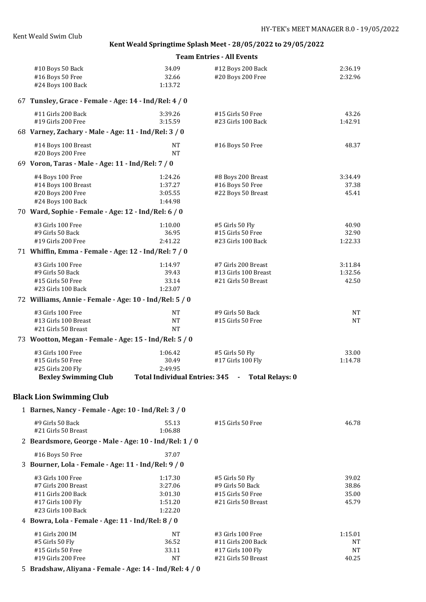| #10 Boys 50 Back                                        | 34.09                                | #12 Boys 200 Back                        | 2:36.19        |
|---------------------------------------------------------|--------------------------------------|------------------------------------------|----------------|
| #16 Boys 50 Free                                        | 32.66                                | #20 Boys 200 Free                        | 2:32.96        |
| #24 Boys 100 Back                                       | 1:13.72                              |                                          |                |
| 67 Tunsley, Grace - Female - Age: 14 - Ind/Rel: 4 / 0   |                                      |                                          |                |
| #11 Girls 200 Back                                      | 3:39.26                              | #15 Girls 50 Free                        | 43.26          |
| #19 Girls 200 Free                                      | 3:15.59                              | #23 Girls 100 Back                       | 1:42.91        |
| 68 Varney, Zachary - Male - Age: 11 - Ind/Rel: 3 / 0    |                                      |                                          |                |
| #14 Boys 100 Breast                                     | <b>NT</b>                            | #16 Boys 50 Free                         | 48.37          |
| #20 Boys 200 Free                                       | <b>NT</b>                            |                                          |                |
| 69 Voron, Taras - Male - Age: 11 - Ind/Rel: 7 / 0       |                                      |                                          |                |
| #4 Boys 100 Free                                        | 1:24.26                              | #8 Boys 200 Breast                       | 3:34.49        |
| #14 Boys 100 Breast                                     | 1:37.27                              | #16 Boys 50 Free                         | 37.38          |
| #20 Boys 200 Free                                       | 3:05.55                              | #22 Boys 50 Breast                       | 45.41          |
| #24 Boys 100 Back                                       | 1:44.98                              |                                          |                |
| 70 Ward, Sophie - Female - Age: 12 - Ind/Rel: 6 / 0     |                                      |                                          |                |
| #3 Girls 100 Free                                       | 1:10.00                              | #5 Girls 50 Fly                          | 40.90          |
| #9 Girls 50 Back                                        | 36.95                                | #15 Girls 50 Free                        | 32.90          |
| #19 Girls 200 Free                                      | 2:41.22                              | #23 Girls 100 Back                       | 1:22.33        |
| 71 Whiffin, Emma - Female - Age: 12 - Ind/Rel: 7 / 0    |                                      |                                          |                |
| #3 Girls 100 Free                                       | 1:14.97                              | #7 Girls 200 Breast                      | 3:11.84        |
| #9 Girls 50 Back                                        | 39.43                                | #13 Girls 100 Breast                     | 1:32.56        |
| #15 Girls 50 Free                                       | 33.14                                | #21 Girls 50 Breast                      | 42.50          |
| #23 Girls 100 Back                                      | 1:23.07                              |                                          |                |
| 72 Williams, Annie - Female - Age: 10 - Ind/Rel: 5 / 0  |                                      |                                          |                |
| #3 Girls 100 Free                                       | <b>NT</b>                            | #9 Girls 50 Back                         | <b>NT</b>      |
| #13 Girls 100 Breast                                    | <b>NT</b>                            | #15 Girls 50 Free                        | <b>NT</b>      |
| #21 Girls 50 Breast                                     | <b>NT</b>                            |                                          |                |
| 73 Wootton, Megan - Female - Age: 15 - Ind/Rel: 5 / 0   |                                      |                                          |                |
| #3 Girls 100 Free                                       | 1:06.42                              | #5 Girls 50 Fly                          | 33.00          |
| #15 Girls 50 Free                                       | 30.49                                | #17 Girls 100 Fly                        | 1:14.78        |
| #25 Girls 200 Fly                                       | 2:49.95                              |                                          |                |
| <b>Bexley Swimming Club</b>                             | <b>Total Individual Entries: 345</b> | <b>Total Relays: 0</b><br>$\sim 100$     |                |
| <b>Black Lion Swimming Club</b>                         |                                      |                                          |                |
| 1 Barnes, Nancy - Female - Age: 10 - Ind/Rel: 3 / 0     |                                      |                                          |                |
| #9 Girls 50 Back                                        | 55.13                                | #15 Girls 50 Free                        | 46.78          |
| #21 Girls 50 Breast                                     | 1:06.88                              |                                          |                |
| 2 Beardsmore, George - Male - Age: 10 - Ind/Rel: 1 / 0  |                                      |                                          |                |
| #16 Boys 50 Free                                        | 37.07                                |                                          |                |
| 3 Bourner, Lola - Female - Age: 11 - Ind/Rel: 9 / 0     |                                      |                                          |                |
|                                                         |                                      |                                          |                |
| #3 Girls 100 Free                                       | 1:17.30                              | #5 Girls 50 Fly                          | 39.02          |
| #7 Girls 200 Breast                                     | 3:27.06                              | #9 Girls 50 Back                         | 38.86          |
| #11 Girls 200 Back                                      | 3:01.30<br>1:51.20                   | #15 Girls 50 Free<br>#21 Girls 50 Breast | 35.00<br>45.79 |
| #17 Girls 100 Fly<br>#23 Girls 100 Back                 | 1:22.20                              |                                          |                |
| 4 Bowra, Lola - Female - Age: 11 - Ind/Rel: 8 / 0       |                                      |                                          |                |
|                                                         |                                      |                                          |                |
| #1 Girls 200 IM<br>#5 Girls 50 Fly                      | NT<br>36.52                          | #3 Girls 100 Free<br>#11 Girls 200 Back  | 1:15.01<br>NΤ  |
| #15 Girls 50 Free                                       | 33.11                                | #17 Girls 100 Fly                        | <b>NT</b>      |
| #19 Girls 200 Free                                      | <b>NT</b>                            | #21 Girls 50 Breast                      | 40.25          |
| 5 Bradshaw, Aliyana - Female - Age: 14 - Ind/Rel: 4 / 0 |                                      |                                          |                |
|                                                         |                                      |                                          |                |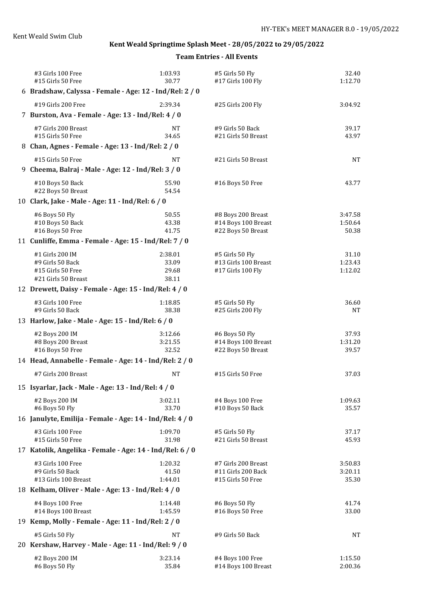| #3 Girls 100 Free<br>#15 Girls 50 Free                                        | 1:03.93<br>30.77 | #5 Girls 50 Fly<br>#17 Girls 100 Fly      | 32.40<br>1:12.70   |
|-------------------------------------------------------------------------------|------------------|-------------------------------------------|--------------------|
| 6 Bradshaw, Calyssa - Female - Age: 12 - Ind/Rel: 2 / 0                       |                  |                                           |                    |
| #19 Girls 200 Free                                                            | 2:39.34          |                                           |                    |
| 7 Burston, Ava - Female - Age: 13 - Ind/Rel: 4 / 0                            |                  | #25 Girls 200 Fly                         | 3:04.92            |
| #7 Girls 200 Breast                                                           | NT               | #9 Girls 50 Back                          | 39.17              |
| #15 Girls 50 Free                                                             | 34.65            | #21 Girls 50 Breast                       | 43.97              |
| 8 Chan, Agnes - Female - Age: 13 - Ind/Rel: 2 / 0                             |                  |                                           |                    |
| #15 Girls 50 Free<br>9 Cheema, Balraj - Male - Age: 12 - Ind/Rel: 3 / 0       | <b>NT</b>        | #21 Girls 50 Breast                       | <b>NT</b>          |
| #10 Boys 50 Back<br>#22 Boys 50 Breast                                        | 55.90<br>54.54   | #16 Boys 50 Free                          | 43.77              |
| 10 Clark, Jake - Male - Age: 11 - Ind/Rel: 6 / 0                              |                  |                                           |                    |
| #6 Boys 50 Fly                                                                | 50.55            | #8 Boys 200 Breast                        | 3:47.58            |
| #10 Boys 50 Back                                                              | 43.38            | #14 Boys 100 Breast                       | 1:50.64            |
| #16 Boys 50 Free                                                              | 41.75            | #22 Boys 50 Breast                        | 50.38              |
| 11 Cunliffe, Emma - Female - Age: 15 - Ind/Rel: 7 / 0                         |                  |                                           |                    |
| #1 Girls 200 IM                                                               | 2:38.01          | #5 Girls 50 Fly                           | 31.10              |
| #9 Girls 50 Back                                                              | 33.09            | #13 Girls 100 Breast                      | 1:23.43            |
| #15 Girls 50 Free<br>#21 Girls 50 Breast                                      | 29.68<br>38.11   | #17 Girls 100 Fly                         | 1:12.02            |
| 12 Drewett, Daisy - Female - Age: 15 - Ind/Rel: 4 / 0                         |                  |                                           |                    |
| #3 Girls 100 Free                                                             | 1:18.85          | #5 Girls 50 Fly                           | 36.60              |
| #9 Girls 50 Back                                                              | 38.38            | #25 Girls 200 Fly                         | NT                 |
| 13 Harlow, Jake - Male - Age: 15 - Ind/Rel: 6 / 0                             |                  |                                           |                    |
| #2 Boys 200 IM                                                                | 3:12.66          | #6 Boys 50 Fly                            | 37.93              |
| #8 Boys 200 Breast                                                            | 3:21.55          | #14 Boys 100 Breast                       | 1:31.20            |
| #16 Boys 50 Free                                                              | 32.52            | #22 Boys 50 Breast                        | 39.57              |
| 14 Head, Annabelle - Female - Age: 14 - Ind/Rel: 2 / 0                        |                  |                                           |                    |
| #7 Girls 200 Breast                                                           | <b>NT</b>        | #15 Girls 50 Free                         | 37.03              |
| 15 Isyarlar, Jack - Male - Age: 13 - Ind/Rel: 4 / 0                           |                  |                                           |                    |
| #2 Boys 200 IM                                                                | 3:02.11          | #4 Boys 100 Free                          | 1:09.63            |
| #6 Boys 50 Fly                                                                | 33.70            | #10 Boys 50 Back                          | 35.57              |
| 16 Janulyte, Emilija - Female - Age: 14 - Ind/Rel: 4 / 0                      |                  |                                           |                    |
| #3 Girls 100 Free                                                             | 1:09.70          | #5 Girls 50 Fly                           | 37.17              |
| #15 Girls 50 Free<br>17 Katolik, Angelika - Female - Age: 14 - Ind/Rel: 6 / 0 | 31.98            | #21 Girls 50 Breast                       | 45.93              |
|                                                                               |                  |                                           |                    |
| #3 Girls 100 Free<br>#9 Girls 50 Back                                         | 1:20.32<br>41.50 | #7 Girls 200 Breast<br>#11 Girls 200 Back | 3:50.83<br>3:20.11 |
| #13 Girls 100 Breast                                                          | 1:44.01          | #15 Girls 50 Free                         | 35.30              |
| 18 Kelham, Oliver - Male - Age: 13 - Ind/Rel: 4 / 0                           |                  |                                           |                    |
| #4 Boys 100 Free                                                              | 1:14.48          | #6 Boys 50 Fly                            | 41.74              |
| #14 Boys 100 Breast                                                           | 1:45.59          | #16 Boys 50 Free                          | 33.00              |
| 19 Kemp, Molly - Female - Age: 11 - Ind/Rel: 2 / 0                            |                  |                                           |                    |
| #5 Girls 50 Fly                                                               | NT               | #9 Girls 50 Back                          | <b>NT</b>          |
| 20 Kershaw, Harvey - Male - Age: 11 - Ind/Rel: 9 / 0                          |                  |                                           |                    |
| #2 Boys 200 IM                                                                | 3:23.14          | #4 Boys 100 Free                          | 1:15.50            |
| #6 Boys 50 Fly                                                                | 35.84            | #14 Boys 100 Breast                       | 2:00.36            |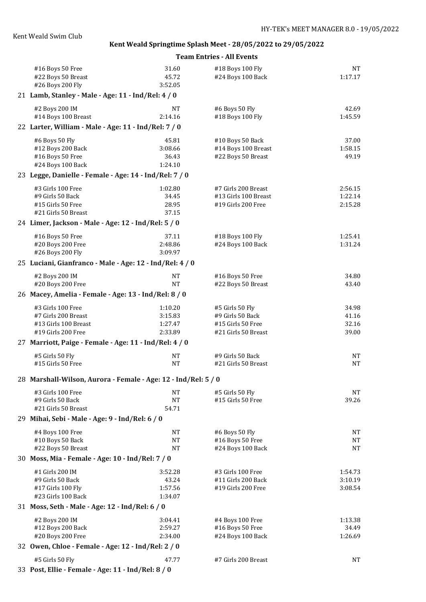| #16 Boys 50 Free<br>#22 Boys 50 Breast<br>#26 Boys 200 Fly             | 31.60<br>45.72<br>3:52.05 | #18 Boys 100 Fly<br>#24 Boys 100 Back    | <b>NT</b><br>1:17.17 |
|------------------------------------------------------------------------|---------------------------|------------------------------------------|----------------------|
| 21 Lamb, Stanley - Male - Age: 11 - Ind/Rel: 4 / 0                     |                           |                                          |                      |
| #2 Boys 200 IM<br>#14 Boys 100 Breast                                  | <b>NT</b><br>2:14.16      | #6 Boys 50 Fly<br>#18 Boys 100 Fly       | 42.69<br>1:45.59     |
| 22 Larter, William - Male - Age: 11 - Ind/Rel: 7 / 0                   |                           |                                          |                      |
| #6 Boys 50 Fly                                                         | 45.81                     | #10 Boys 50 Back                         | 37.00                |
| #12 Boys 200 Back                                                      | 3:08.66                   | #14 Boys 100 Breast                      | 1:58.15              |
| #16 Boys 50 Free                                                       | 36.43                     | #22 Boys 50 Breast                       | 49.19                |
| #24 Boys 100 Back                                                      | 1:24.10                   |                                          |                      |
| 23 Legge, Danielle - Female - Age: 14 - Ind/Rel: 7 / 0                 |                           |                                          |                      |
| #3 Girls 100 Free                                                      | 1:02.80                   | #7 Girls 200 Breast                      | 2:56.15              |
| #9 Girls 50 Back                                                       | 34.45                     | #13 Girls 100 Breast                     | 1:22.14              |
| #15 Girls 50 Free<br>#21 Girls 50 Breast                               | 28.95<br>37.15            | #19 Girls 200 Free                       | 2:15.28              |
| 24 Limer, Jackson - Male - Age: 12 - Ind/Rel: 5 / 0                    |                           |                                          |                      |
|                                                                        | 37.11                     |                                          | 1:25.41              |
| #16 Boys 50 Free<br>#20 Boys 200 Free                                  | 2:48.86                   | #18 Boys 100 Fly<br>#24 Boys 100 Back    | 1:31.24              |
| #26 Boys 200 Fly                                                       | 3:09.97                   |                                          |                      |
| 25 Luciani, Gianfranco - Male - Age: 12 - Ind/Rel: 4 / 0               |                           |                                          |                      |
| #2 Boys 200 IM                                                         | <b>NT</b>                 | #16 Boys 50 Free                         | 34.80                |
| #20 Boys 200 Free                                                      | <b>NT</b>                 | #22 Boys 50 Breast                       | 43.40                |
| 26 Macey, Amelia - Female - Age: 13 - Ind/Rel: 8 / 0                   |                           |                                          |                      |
| #3 Girls 100 Free                                                      | 1:10.20                   | #5 Girls 50 Fly                          | 34.98                |
| #7 Girls 200 Breast                                                    | 3:15.83                   | #9 Girls 50 Back                         | 41.16                |
| #13 Girls 100 Breast                                                   | 1:27.47                   | #15 Girls 50 Free                        | 32.16                |
| #19 Girls 200 Free                                                     | 2:33.89                   | #21 Girls 50 Breast                      | 39.00                |
| 27 Marriott, Paige - Female - Age: 11 - Ind/Rel: 4 / 0                 |                           |                                          |                      |
| #5 Girls 50 Fly<br>#15 Girls 50 Free                                   | <b>NT</b><br><b>NT</b>    | #9 Girls 50 Back<br>#21 Girls 50 Breast  | NΤ<br><b>NT</b>      |
|                                                                        |                           |                                          |                      |
| 28 Marshall-Wilson, Aurora - Female - Age: 12 - Ind/Rel: 5 / 0         |                           |                                          |                      |
| #3 Girls 100 Free                                                      | NT                        | #5 Girls 50 Fly                          | NT                   |
| #9 Girls 50 Back                                                       | <b>NT</b>                 | #15 Girls 50 Free                        | 39.26                |
| #21 Girls 50 Breast                                                    | 54.71                     |                                          |                      |
| 29 Mihai, Sebi - Male - Age: 9 - Ind/Rel: 6 / 0                        |                           |                                          |                      |
| #4 Boys 100 Free                                                       | NT                        | #6 Boys 50 Fly                           | NT                   |
| #10 Boys 50 Back                                                       | NT                        | #16 Boys 50 Free                         | <b>NT</b>            |
| #22 Boys 50 Breast<br>30 Moss, Mia - Female - Age: 10 - Ind/Rel: 7 / 0 | <b>NT</b>                 | #24 Boys 100 Back                        | <b>NT</b>            |
|                                                                        |                           |                                          |                      |
| #1 Girls 200 IM                                                        | 3:52.28                   | #3 Girls 100 Free                        | 1:54.73              |
| #9 Girls 50 Back<br>#17 Girls 100 Fly                                  | 43.24<br>1:57.56          | #11 Girls 200 Back<br>#19 Girls 200 Free | 3:10.19<br>3:08.54   |
| #23 Girls 100 Back                                                     | 1:34.07                   |                                          |                      |
| 31 Moss, Seth - Male - Age: 12 - Ind/Rel: 6 / 0                        |                           |                                          |                      |
| #2 Boys 200 IM                                                         | 3:04.41                   | #4 Boys 100 Free                         | 1:13.38              |
| #12 Boys 200 Back                                                      | 2:59.27                   | #16 Boys 50 Free                         | 34.49                |
| #20 Boys 200 Free                                                      | 2:34.00                   | #24 Boys 100 Back                        | 1:26.69              |
| 32 Owen, Chloe - Female - Age: 12 - Ind/Rel: 2 / 0                     |                           |                                          |                      |
| #5 Girls 50 Fly                                                        | 47.77                     | #7 Girls 200 Breast                      | NΤ                   |
| 33 Post, Ellie - Female - Age: 11 - Ind/Rel: 8 / 0                     |                           |                                          |                      |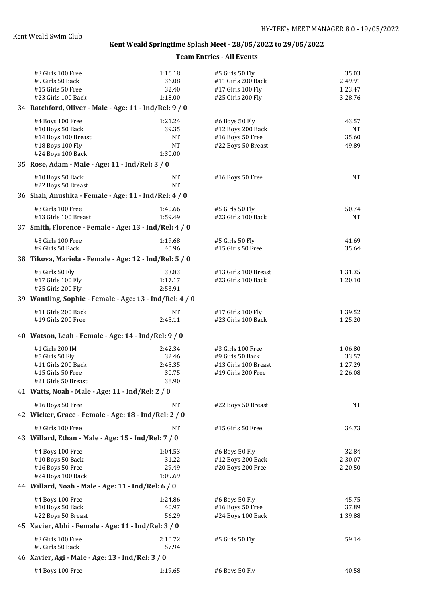| #3 Girls 100 Free                                       | 1:16.18          | #5 Girls 50 Fly                       | 35.03            |
|---------------------------------------------------------|------------------|---------------------------------------|------------------|
| #9 Girls 50 Back                                        | 36.08            | #11 Girls 200 Back                    | 2:49.91          |
| #15 Girls 50 Free                                       | 32.40            | #17 Girls 100 Fly                     | 1:23.47          |
| #23 Girls 100 Back                                      | 1:18.00          | #25 Girls 200 Fly                     | 3:28.76          |
| 34 Ratchford, Oliver - Male - Age: 11 - Ind/Rel: 9 / 0  |                  |                                       |                  |
| #4 Boys 100 Free                                        | 1:21.24          | #6 Boys 50 Fly                        | 43.57            |
| #10 Boys 50 Back                                        | 39.35            | #12 Boys 200 Back                     | NT               |
| #14 Boys 100 Breast                                     | <b>NT</b>        | #16 Boys 50 Free                      | 35.60            |
| #18 Boys 100 Fly                                        | <b>NT</b>        | #22 Boys 50 Breast                    | 49.89            |
| #24 Boys 100 Back                                       | 1:30.00          |                                       |                  |
| 35 Rose, Adam - Male - Age: 11 - Ind/Rel: 3 / 0         |                  |                                       |                  |
| #10 Boys 50 Back                                        | <b>NT</b>        | #16 Boys 50 Free                      | <b>NT</b>        |
| #22 Boys 50 Breast                                      | <b>NT</b>        |                                       |                  |
| 36 Shah, Anushka - Female - Age: 11 - Ind/Rel: 4 / 0    |                  |                                       |                  |
| #3 Girls 100 Free                                       | 1:40.66          | #5 Girls 50 Fly                       | 50.74            |
| #13 Girls 100 Breast                                    | 1:59.49          | #23 Girls 100 Back                    | NΤ               |
| 37 Smith, Florence - Female - Age: 13 - Ind/Rel: 4 / 0  |                  |                                       |                  |
| #3 Girls 100 Free                                       | 1:19.68          | #5 Girls 50 Fly                       | 41.69            |
| #9 Girls 50 Back                                        | 40.96            | #15 Girls 50 Free                     | 35.64            |
| 38 Tikova, Mariela - Female - Age: 12 - Ind/Rel: 5 / 0  |                  |                                       |                  |
| #5 Girls 50 Fly                                         | 33.83            | #13 Girls 100 Breast                  | 1:31.35          |
| #17 Girls 100 Fly                                       | 1:17.17          | #23 Girls 100 Back                    | 1:20.10          |
| #25 Girls 200 Fly                                       | 2:53.91          |                                       |                  |
| 39 Wantling, Sophie - Female - Age: 13 - Ind/Rel: 4 / 0 |                  |                                       |                  |
| #11 Girls 200 Back                                      | <b>NT</b>        | #17 Girls 100 Fly                     | 1:39.52          |
| #19 Girls 200 Free                                      | 2:45.11          | #23 Girls 100 Back                    | 1:25.20          |
|                                                         |                  |                                       |                  |
| 40 Watson, Leah - Female - Age: 14 - Ind/Rel: 9 / 0     |                  |                                       |                  |
| #1 Girls 200 IM                                         | 2:42.34          | #3 Girls 100 Free                     | 1:06.80          |
| #5 Girls 50 Fly                                         | 32.46            | #9 Girls 50 Back                      | 33.57            |
| #11 Girls 200 Back                                      | 2:45.35          | #13 Girls 100 Breast                  | 1:27.29          |
| #15 Girls 50 Free                                       | 30.75            | #19 Girls 200 Free                    | 2:26.08          |
| #21 Girls 50 Breast                                     | 38.90            |                                       |                  |
| 41 Watts, Noah - Male - Age: 11 - Ind/Rel: 2 / 0        |                  |                                       |                  |
| #16 Boys 50 Free                                        | NT               | #22 Boys 50 Breast                    | <b>NT</b>        |
| 42 Wicker, Grace - Female - Age: 18 - Ind/Rel: 2 / 0    |                  |                                       |                  |
| #3 Girls 100 Free                                       | NT               | #15 Girls 50 Free                     | 34.73            |
| 43 Willard, Ethan - Male - Age: 15 - Ind/Rel: 7 / 0     |                  |                                       |                  |
|                                                         |                  |                                       |                  |
| #4 Boys 100 Free<br>#10 Boys 50 Back                    | 1:04.53<br>31.22 | #6 Boys 50 Fly<br>#12 Boys 200 Back   | 32.84<br>2:30.07 |
| #16 Boys 50 Free                                        | 29.49            | #20 Boys 200 Free                     | 2:20.50          |
| #24 Boys 100 Back                                       | 1:09.69          |                                       |                  |
| 44 Willard, Noah - Male - Age: 11 - Ind/Rel: 6 / 0      |                  |                                       |                  |
|                                                         |                  |                                       |                  |
| #4 Boys 100 Free                                        | 1:24.86          | #6 Boys 50 Fly                        | 45.75            |
| #10 Boys 50 Back<br>#22 Boys 50 Breast                  | 40.97<br>56.29   | #16 Boys 50 Free<br>#24 Boys 100 Back | 37.89<br>1:39.88 |
| 45 Xavier, Abhi - Female - Age: 11 - Ind/Rel: 3 / 0     |                  |                                       |                  |
|                                                         |                  |                                       |                  |
| #3 Girls 100 Free                                       | 2:10.72          | #5 Girls 50 Fly                       | 59.14            |
| #9 Girls 50 Back                                        | 57.94            |                                       |                  |
| 46 Xavier, Agi - Male - Age: 13 - Ind/Rel: 3 / 0        |                  |                                       |                  |
| #4 Boys 100 Free                                        | 1:19.65          | #6 Boys 50 Fly                        | 40.58            |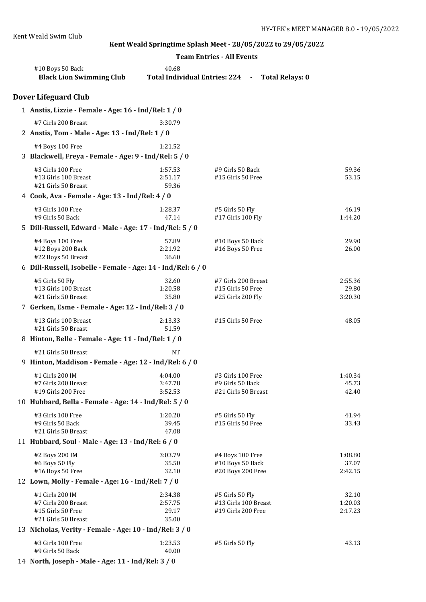|                                                              | <b>Team Entries - All Events</b> |                                                 |                  |
|--------------------------------------------------------------|----------------------------------|-------------------------------------------------|------------------|
| #10 Boys 50 Back<br><b>Black Lion Swimming Club</b>          | 40.68                            | Total Individual Entries: 224 - Total Relays: 0 |                  |
| <b>Dover Lifeguard Club</b>                                  |                                  |                                                 |                  |
| 1 Anstis, Lizzie - Female - Age: 16 - Ind/Rel: 1 / 0         |                                  |                                                 |                  |
| #7 Girls 200 Breast                                          | 3:30.79                          |                                                 |                  |
| 2 Anstis, Tom - Male - Age: 13 - Ind/Rel: 1 / 0              |                                  |                                                 |                  |
| #4 Boys 100 Free                                             | 1:21.52                          |                                                 |                  |
| 3 Blackwell, Freya - Female - Age: 9 - Ind/Rel: 5 / 0        |                                  |                                                 |                  |
| #3 Girls 100 Free                                            | 1:57.53                          | #9 Girls 50 Back                                | 59.36            |
| #13 Girls 100 Breast                                         | 2:51.17                          | #15 Girls 50 Free                               | 53.15            |
| #21 Girls 50 Breast                                          | 59.36                            |                                                 |                  |
| 4 Cook, Ava - Female - Age: 13 - Ind/Rel: 4 / 0              |                                  |                                                 |                  |
| #3 Girls 100 Free                                            | 1:28.37                          | #5 Girls 50 Fly                                 | 46.19            |
| #9 Girls 50 Back                                             | 47.14                            | #17 Girls 100 Fly                               | 1:44.20          |
| 5 Dill-Russell, Edward - Male - Age: 17 - Ind/Rel: 5 / 0     |                                  |                                                 |                  |
| #4 Boys 100 Free                                             | 57.89                            | #10 Boys 50 Back                                | 29.90            |
| #12 Boys 200 Back<br>#22 Boys 50 Breast                      | 2:21.92<br>36.60                 | #16 Boys 50 Free                                | 26.00            |
| 6 Dill-Russell, Isobelle - Female - Age: 14 - Ind/Rel: 6 / 0 |                                  |                                                 |                  |
|                                                              |                                  |                                                 |                  |
| #5 Girls 50 Fly<br>#13 Girls 100 Breast                      | 32.60<br>1:20.58                 | #7 Girls 200 Breast<br>#15 Girls 50 Free        | 2:55.36<br>29.80 |
| #21 Girls 50 Breast                                          | 35.80                            | #25 Girls 200 Fly                               | 3:20.30          |
| 7 Gerken, Esme - Female - Age: 12 - Ind/Rel: 3 / 0           |                                  |                                                 |                  |
| #13 Girls 100 Breast                                         | 2:13.33                          | #15 Girls 50 Free                               | 48.05            |
| #21 Girls 50 Breast                                          | 51.59                            |                                                 |                  |
| 8 Hinton, Belle - Female - Age: 11 - Ind/Rel: 1 / 0          |                                  |                                                 |                  |
| #21 Girls 50 Breast                                          | NT                               |                                                 |                  |
| 9 Hinton, Maddison - Female - Age: 12 - Ind/Rel: 6 / 0       |                                  |                                                 |                  |
| #1 Girls 200 IM                                              | 4:04.00                          | #3 Girls 100 Free                               | 1:40.34          |
| #7 Girls 200 Breast                                          | 3:47.78                          | #9 Girls 50 Back                                | 45.73            |
| #19 Girls 200 Free                                           | 3:52.53                          | #21 Girls 50 Breast                             | 42.40            |
| 10 Hubbard, Bella - Female - Age: 14 - Ind/Rel: 5 / 0        |                                  |                                                 |                  |
| #3 Girls 100 Free                                            | 1:20.20                          | #5 Girls 50 Fly                                 | 41.94            |
| #9 Girls 50 Back                                             | 39.45                            | #15 Girls 50 Free                               | 33.43            |
| #21 Girls 50 Breast                                          | 47.08                            |                                                 |                  |
| 11 Hubbard, Soul - Male - Age: 13 - Ind/Rel: 6 / 0           |                                  |                                                 |                  |
| #2 Boys 200 IM                                               | 3:03.79                          | #4 Boys 100 Free                                | 1:08.80          |
| #6 Boys 50 Fly<br>#16 Boys 50 Free                           | 35.50<br>32.10                   | #10 Boys 50 Back<br>#20 Boys 200 Free           | 37.07<br>2:42.15 |
| 12 Lown, Molly - Female - Age: 16 - Ind/Rel: 7 / 0           |                                  |                                                 |                  |
| #1 Girls 200 IM                                              | 2:34.38                          | #5 Girls 50 Fly                                 | 32.10            |
| #7 Girls 200 Breast                                          | 2:57.75                          | #13 Girls 100 Breast                            | 1:20.03          |
| #15 Girls 50 Free                                            | 29.17                            | #19 Girls 200 Free                              | 2:17.23          |
| #21 Girls 50 Breast                                          | 35.00                            |                                                 |                  |
| 13 Nicholas, Verity - Female - Age: 10 - Ind/Rel: 3 / 0      |                                  |                                                 |                  |
| #3 Girls 100 Free                                            | 1:23.53                          | #5 Girls 50 Fly                                 | 43.13            |
| #9 Girls 50 Back                                             | 40.00                            |                                                 |                  |

14 **North, Joseph - Male - Age: 11 - Ind/Rel: 3 / 0**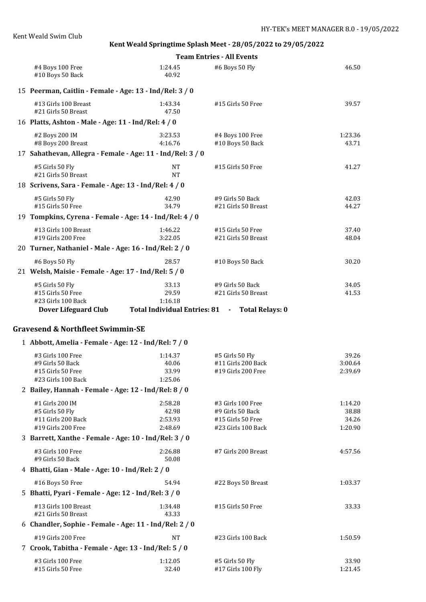|                                                                                           |                                        | <b>Team Entries - All Events</b>                                                          |                                      |
|-------------------------------------------------------------------------------------------|----------------------------------------|-------------------------------------------------------------------------------------------|--------------------------------------|
| #4 Boys 100 Free<br>#10 Boys 50 Back                                                      | 1:24.45<br>40.92                       | #6 Boys 50 Fly                                                                            | 46.50                                |
| 15 Peerman, Caitlin - Female - Age: 13 - Ind/Rel: 3 / 0                                   |                                        |                                                                                           |                                      |
| #13 Girls 100 Breast<br>#21 Girls 50 Breast                                               | 1:43.34<br>47.50                       | #15 Girls 50 Free                                                                         | 39.57                                |
| 16 Platts, Ashton - Male - Age: 11 - Ind/Rel: 4 / 0                                       |                                        |                                                                                           |                                      |
| #2 Boys 200 IM<br>#8 Boys 200 Breast                                                      | 3:23.53<br>4:16.76                     | #4 Boys 100 Free<br>#10 Boys 50 Back                                                      | 1:23.36<br>43.71                     |
| 17 Sahathevan, Allegra - Female - Age: 11 - Ind/Rel: 3 / 0                                |                                        |                                                                                           |                                      |
| #5 Girls 50 Fly<br>#21 Girls 50 Breast                                                    | <b>NT</b><br><b>NT</b>                 | #15 Girls 50 Free                                                                         | 41.27                                |
| 18 Scrivens, Sara - Female - Age: 13 - Ind/Rel: 4 / 0                                     |                                        |                                                                                           |                                      |
| #5 Girls 50 Fly<br>#15 Girls 50 Free                                                      | 42.90<br>34.79                         | #9 Girls 50 Back<br>#21 Girls 50 Breast                                                   | 42.03<br>44.27                       |
| 19 Tompkins, Cyrena - Female - Age: 14 - Ind/Rel: 4 / 0                                   |                                        |                                                                                           |                                      |
| #13 Girls 100 Breast<br>#19 Girls 200 Free                                                | 1:46.22<br>3:22.05                     | #15 Girls 50 Free<br>#21 Girls 50 Breast                                                  | 37.40<br>48.04                       |
| 20 Turner, Nathaniel - Male - Age: 16 - Ind/Rel: 2 / 0                                    |                                        |                                                                                           |                                      |
| #6 Boys 50 Fly                                                                            | 28.57                                  | #10 Boys 50 Back                                                                          | 30.20                                |
| 21 Welsh, Maisie - Female - Age: 17 - Ind/Rel: 5 / 0                                      |                                        |                                                                                           |                                      |
| #5 Girls 50 Fly<br>#15 Girls 50 Free<br>#23 Girls 100 Back<br><b>Dover Lifeguard Club</b> | 33.13<br>29.59<br>1:16.18              | #9 Girls 50 Back<br>#21 Girls 50 Breast<br>Total Individual Entries: 81 - Total Relays: 0 | 34.05<br>41.53                       |
|                                                                                           |                                        |                                                                                           |                                      |
| <b>Gravesend &amp; Northfleet Swimmin-SE</b>                                              |                                        |                                                                                           |                                      |
| 1 Abbott, Amelia - Female - Age: 12 - Ind/Rel: 7 / 0                                      |                                        |                                                                                           |                                      |
| #3 Girls 100 Free<br>#9 Girls 50 Back<br>#15 Girls 50 Free<br>#23 Girls 100 Back          | 1:14.37<br>40.06<br>33.99<br>1:25.06   | #5 Girls 50 Fly<br>#11 Girls 200 Back<br>#19 Girls 200 Free                               | 39.26<br>3:00.64<br>2:39.69          |
| 2 Bailey, Hannah - Female - Age: 12 - Ind/Rel: 8 / 0                                      |                                        |                                                                                           |                                      |
| #1 Girls 200 IM<br>#5 Girls 50 Fly<br>#11 Girls 200 Back<br>#19 Girls 200 Free            | 2:58.28<br>42.98<br>2:53.93<br>2:48.69 | #3 Girls 100 Free<br>#9 Girls 50 Back<br>#15 Girls 50 Free<br>#23 Girls 100 Back          | 1:14.20<br>38.88<br>34.26<br>1:20.90 |
| 3 Barrett, Xanthe - Female - Age: 10 - Ind/Rel: 3 / 0                                     |                                        |                                                                                           |                                      |
| #3 Girls 100 Free<br>#9 Girls 50 Back                                                     | 2:26.88<br>50.08                       | #7 Girls 200 Breast                                                                       | 4:57.56                              |
| 4 Bhatti, Gian - Male - Age: 10 - Ind/Rel: 2 / 0                                          |                                        |                                                                                           |                                      |
| #16 Boys 50 Free                                                                          | 54.94                                  | #22 Boys 50 Breast                                                                        | 1:03.37                              |
| 5 Bhatti, Pyari - Female - Age: 12 - Ind/Rel: 3 / 0                                       |                                        |                                                                                           |                                      |
| #13 Girls 100 Breast                                                                      | 1:34.48                                | #15 Girls 50 Free                                                                         | 33.33                                |

#21 Girls 50 Breast 43.33 6 **Chandler, Sophie - Female - Age: 11 - Ind/Rel: 2 / 0** #19 Girls 200 Free NT #23 Girls 100 Back 1:50.59 7 **Crook, Tabitha - Female - Age: 13 - Ind/Rel: 5 / 0** 43 Girls 100 Free 1:12.05 #5 Girls 50 Fly 33.90<br>415 Girls 50 Free 32.40 #17 Girls 100 Fly 1:21.45 32.40 #17 Girls 100 Fly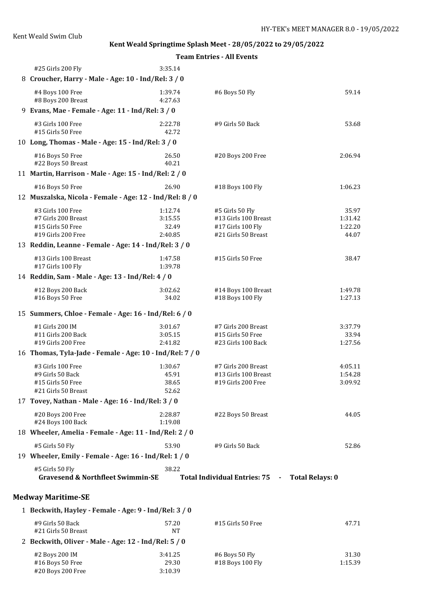**Team Entries - All Events**

| #25 Girls 200 Fly                                               | 3:35.14            |                                |                        |
|-----------------------------------------------------------------|--------------------|--------------------------------|------------------------|
| 8 Croucher, Harry - Male - Age: 10 - Ind/Rel: 3 / 0             |                    |                                |                        |
| #4 Boys 100 Free<br>#8 Boys 200 Breast                          | 1:39.74<br>4:27.63 | #6 Boys 50 Fly                 | 59.14                  |
| 9 Evans, Mae - Female - Age: 11 - Ind/Rel: 3 / 0                |                    |                                |                        |
| #3 Girls 100 Free<br>#15 Girls 50 Free                          | 2:22.78<br>42.72   | #9 Girls 50 Back               | 53.68                  |
| 10 Long, Thomas - Male - Age: 15 - Ind/Rel: 3 / 0               |                    |                                |                        |
| #16 Boys 50 Free<br>#22 Boys 50 Breast                          | 26.50<br>40.21     | #20 Boys 200 Free              | 2:06.94                |
| 11 Martin, Harrison - Male - Age: 15 - Ind/Rel: 2 / 0           |                    |                                |                        |
| #16 Boys 50 Free                                                | 26.90              | #18 Boys 100 Fly               | 1:06.23                |
| 12 Muszalska, Nicola - Female - Age: 12 - Ind/Rel: 8 / 0        |                    |                                |                        |
| #3 Girls 100 Free                                               | 1:12.74            | #5 Girls 50 Fly                | 35.97                  |
| #7 Girls 200 Breast                                             | 3:15.55            | #13 Girls 100 Breast           | 1:31.42                |
| #15 Girls 50 Free                                               | 32.49              | #17 Girls 100 Fly              | 1:22.20                |
| #19 Girls 200 Free                                              | 2:40.85            | #21 Girls 50 Breast            | 44.07                  |
| 13 Reddin, Leanne - Female - Age: 14 - Ind/Rel: 3 / 0           |                    |                                |                        |
|                                                                 |                    |                                |                        |
| #13 Girls 100 Breast                                            | 1:47.58            | #15 Girls 50 Free              | 38.47                  |
| #17 Girls 100 Fly                                               | 1:39.78            |                                |                        |
| 14 Reddin, Sam - Male - Age: 13 - Ind/Rel: 4 / 0                |                    |                                |                        |
| #12 Boys 200 Back                                               | 3:02.62            | #14 Boys 100 Breast            | 1:49.78                |
| #16 Boys 50 Free                                                | 34.02              | #18 Boys 100 Fly               | 1:27.13                |
| 15 Summers, Chloe - Female - Age: 16 - Ind/Rel: 6 / 0           |                    |                                |                        |
| #1 Girls 200 IM                                                 | 3:01.67            | #7 Girls 200 Breast            | 3:37.79                |
| #11 Girls 200 Back                                              | 3:05.15            | #15 Girls 50 Free              | 33.94                  |
| #19 Girls 200 Free                                              | 2:41.82            | #23 Girls 100 Back             | 1:27.56                |
| 16 Thomas, Tyla-Jade - Female - Age: 10 - Ind/Rel: 7 / 0        |                    |                                |                        |
| #3 Girls 100 Free                                               | 1:30.67            | #7 Girls 200 Breast            | 4:05.11                |
| #9 Girls 50 Back                                                | 45.91              | #13 Girls 100 Breast           | 1:54.28                |
| #15 Girls 50 Free                                               | 38.65              | #19 Girls 200 Free             | 3:09.92                |
| #21 Girls 50 Breast                                             | 52.62              |                                |                        |
| 17 Tovey, Nathan - Male - Age: 16 - Ind/Rel: 3 / 0              |                    |                                |                        |
| #20 Boys 200 Free                                               | 2:28.87            | #22 Boys 50 Breast             | 44.05                  |
| #24 Boys 100 Back                                               | 1:19.08            |                                |                        |
| 18 Wheeler, Amelia - Female - Age: 11 - Ind/Rel: 2 / 0          |                    |                                |                        |
| #5 Girls 50 Fly                                                 | 53.90              | #9 Girls 50 Back               | 52.86                  |
|                                                                 |                    |                                |                        |
| 19 Wheeler, Emily - Female - Age: 16 - Ind/Rel: 1 / 0           |                    |                                |                        |
| #5 Girls 50 Fly<br><b>Gravesend &amp; Northfleet Swimmin-SE</b> | 38.22              | Total Individual Entries: 75 - | <b>Total Relays: 0</b> |
| <b>Medway Maritime-SE</b>                                       |                    |                                |                        |
| 1 Beckwith, Hayley - Female - Age: 9 - Ind/Rel: 3 / 0           |                    |                                |                        |
|                                                                 |                    |                                |                        |
| #9 Girls 50 Back<br>#21 Girls 50 Breast                         | 57.20<br><b>NT</b> | #15 Girls 50 Free              | 47.71                  |
| 2 Beckwith, Oliver - Male - Age: 12 - Ind/Rel: 5 / 0            |                    |                                |                        |
|                                                                 |                    |                                |                        |
| #2 Boys 200 IM                                                  | 3:41.25            | #6 Boys 50 Fly                 | 31.30                  |
| #16 Boys 50 Free                                                | 29.30              | #18 Boys 100 Fly               | 1:15.39                |

#16 Boys 50 Free 29.30<br>#20 Boys 200 Free 3:10.39

#20 Boys 200 Free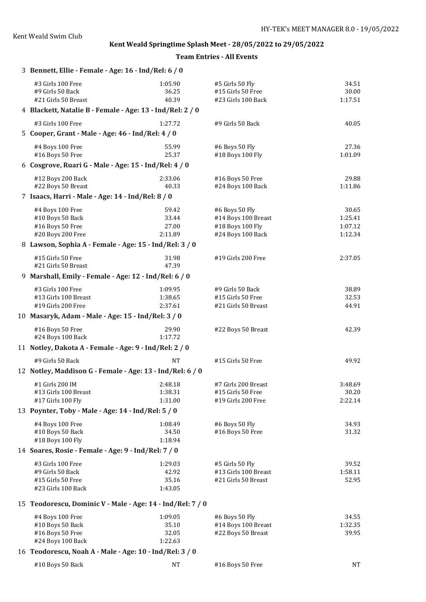| 3 Bennett, Ellie - Female - Age: 16 - Ind/Rel: 6 / 0         |                           |                                                            |                           |
|--------------------------------------------------------------|---------------------------|------------------------------------------------------------|---------------------------|
| #3 Girls 100 Free<br>#9 Girls 50 Back<br>#21 Girls 50 Breast | 1:05.90<br>36.25<br>40.39 | #5 Girls 50 Fly<br>#15 Girls 50 Free<br>#23 Girls 100 Back | 34.51<br>30.00<br>1:17.51 |
| 4 Blackett, Natalie B - Female - Age: 13 - Ind/Rel: 2 / 0    |                           |                                                            |                           |
| #3 Girls 100 Free                                            | 1:27.72                   | #9 Girls 50 Back                                           | 40.05                     |
| 5 Cooper, Grant - Male - Age: 46 - Ind/Rel: 4 / 0            |                           |                                                            |                           |
| #4 Boys 100 Free                                             | 55.99                     | #6 Boys 50 Fly                                             | 27.36                     |
| #16 Boys 50 Free                                             | 25.37                     | #18 Boys 100 Fly                                           | 1:01.09                   |
| 6 Cosgrove, Ruari G - Male - Age: 15 - Ind/Rel: 4 / 0        |                           |                                                            |                           |
| #12 Boys 200 Back                                            | 2:33.06                   | #16 Boys 50 Free                                           | 29.88                     |
| #22 Boys 50 Breast                                           | 40.33                     | #24 Boys 100 Back                                          | 1:11.86                   |
| 7 Isaacs, Harri - Male - Age: 14 - Ind/Rel: 8 / 0            |                           |                                                            |                           |
| #4 Boys 100 Free                                             | 59.42                     | #6 Boys 50 Fly                                             | 30.65                     |
| #10 Boys 50 Back                                             | 33.44                     | #14 Boys 100 Breast                                        | 1:25.41                   |
| #16 Boys 50 Free                                             | 27.00                     | #18 Boys 100 Fly                                           | 1:07.12                   |
| #20 Boys 200 Free                                            | 2:11.89                   | #24 Boys 100 Back                                          | 1:12.34                   |
| 8 Lawson, Sophia A - Female - Age: 15 - Ind/Rel: 3 / 0       |                           |                                                            |                           |
| #15 Girls 50 Free<br>#21 Girls 50 Breast                     | 31.98<br>47.39            | #19 Girls 200 Free                                         | 2:37.05                   |
| 9 Marshall, Emily - Female - Age: 12 - Ind/Rel: 6 / 0        |                           |                                                            |                           |
| #3 Girls 100 Free                                            | 1:09.95                   | #9 Girls 50 Back                                           | 38.89                     |
| #13 Girls 100 Breast                                         | 1:38.65                   | #15 Girls 50 Free                                          | 32.53                     |
| #19 Girls 200 Free                                           | 2:37.61                   | #21 Girls 50 Breast                                        | 44.91                     |
| 10 Masaryk, Adam - Male - Age: 15 - Ind/Rel: 3 / 0           |                           |                                                            |                           |
| #16 Boys 50 Free                                             | 29.90                     | #22 Boys 50 Breast                                         | 42.39                     |
| #24 Boys 100 Back                                            | 1:17.72                   |                                                            |                           |
| 11 Notley, Dakota A - Female - Age: 9 - Ind/Rel: 2 / 0       |                           |                                                            |                           |
| #9 Girls 50 Back                                             | <b>NT</b>                 | #15 Girls 50 Free                                          | 49.92                     |
| 12 Notley, Maddison G - Female - Age: 13 - Ind/Rel: 6 / 0    |                           |                                                            |                           |
| #1 Girls 200 IM                                              | 2:48.18                   | #7 Girls 200 Breast                                        | 3:48.69                   |
| #13 Girls 100 Breast                                         | 1:38.31                   | #15 Girls 50 Free                                          | 30.20                     |
| #17 Girls 100 Fly                                            | 1:31.00                   | #19 Girls 200 Free                                         | 2:22.14                   |
| 13 Poynter, Toby - Male - Age: 14 - Ind/Rel: 5 / 0           |                           |                                                            |                           |
| #4 Boys 100 Free                                             | 1:08.49                   | #6 Boys 50 Fly                                             | 34.93                     |
| #10 Boys 50 Back<br>#18 Boys 100 Fly                         | 34.50<br>1:18.94          | #16 Boys 50 Free                                           | 31.32                     |
| 14 Soares, Rosie - Female - Age: 9 - Ind/Rel: 7 / 0          |                           |                                                            |                           |
| #3 Girls 100 Free                                            | 1:29.03                   | #5 Girls 50 Fly                                            | 39.52                     |
| #9 Girls 50 Back                                             | 42.92                     | #13 Girls 100 Breast                                       | 1:58.11                   |
| #15 Girls 50 Free                                            | 35.16                     | #21 Girls 50 Breast                                        | 52.95                     |
| #23 Girls 100 Back                                           | 1:43.05                   |                                                            |                           |
| 15 Teodorescu, Dominic V - Male - Age: 14 - Ind/Rel: 7 / 0   |                           |                                                            |                           |
| #4 Boys 100 Free                                             | 1:09.05                   | #6 Boys 50 Fly                                             | 34.55                     |
| #10 Boys 50 Back                                             | 35.10                     | #14 Boys 100 Breast                                        | 1:32.35                   |
| #16 Boys 50 Free                                             | 32.05                     | #22 Boys 50 Breast                                         | 39.95                     |
| #24 Boys 100 Back                                            | 1:22.63                   |                                                            |                           |
| 16 Teodorescu, Noah A - Male - Age: 10 - Ind/Rel: 3 / 0      |                           |                                                            |                           |
| #10 Boys 50 Back                                             | <b>NT</b>                 | #16 Boys 50 Free                                           | NT                        |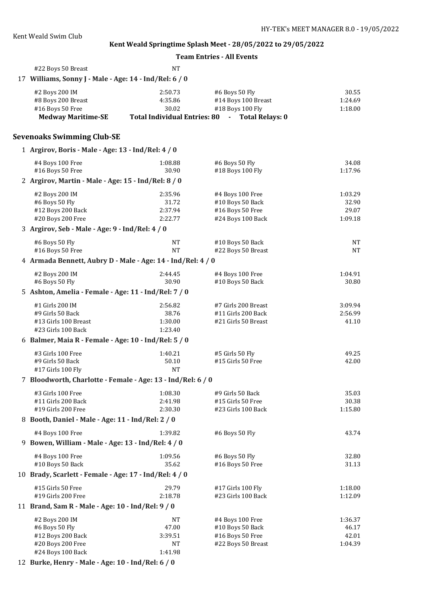| Kent Weald Swim Club                                                         |                  |                                                                                                  |                  |
|------------------------------------------------------------------------------|------------------|--------------------------------------------------------------------------------------------------|------------------|
|                                                                              |                  | Kent Weald Springtime Splash Meet - 28/05/2022 to 29/05/2022<br><b>Team Entries - All Events</b> |                  |
|                                                                              |                  |                                                                                                  |                  |
| #22 Boys 50 Breast<br>17 Williams, Sonny J - Male - Age: 14 - Ind/Rel: 6 / 0 | <b>NT</b>        |                                                                                                  |                  |
|                                                                              |                  |                                                                                                  |                  |
| #2 Boys 200 IM<br>#8 Boys 200 Breast                                         | 2:50.73          | #6 Boys 50 Fly<br>#14 Boys 100 Breast                                                            | 30.55<br>1:24.69 |
| #16 Boys 50 Free                                                             | 4:35.86<br>30.02 | #18 Boys 100 Fly                                                                                 | 1:18.00          |
| <b>Medway Maritime-SE</b>                                                    |                  | Total Individual Entries: 80 - Total Relays: 0                                                   |                  |
|                                                                              |                  |                                                                                                  |                  |
| <b>Sevenoaks Swimming Club-SE</b>                                            |                  |                                                                                                  |                  |
| 1 Argirov, Boris - Male - Age: 13 - Ind/Rel: 4 / 0                           |                  |                                                                                                  |                  |
| #4 Boys 100 Free<br>#16 Boys 50 Free                                         | 1:08.88<br>30.90 | #6 Boys 50 Fly<br>#18 Boys 100 Fly                                                               | 34.08<br>1:17.96 |
| 2 Argirov, Martin - Male - Age: 15 - Ind/Rel: 8 / 0                          |                  |                                                                                                  |                  |
| #2 Boys 200 IM                                                               | 2:35.96          | #4 Boys 100 Free                                                                                 | 1:03.29          |
| #6 Boys 50 Fly                                                               | 31.72            | #10 Boys 50 Back                                                                                 | 32.90            |
| #12 Boys 200 Back                                                            | 2:37.94          | #16 Boys 50 Free                                                                                 | 29.07            |
| #20 Boys 200 Free                                                            | 2:22.77          | #24 Boys 100 Back                                                                                | 1:09.18          |
| 3 Argirov, Seb - Male - Age: 9 - Ind/Rel: 4 / 0                              |                  |                                                                                                  |                  |
| #6 Boys 50 Fly                                                               | NT               | #10 Boys 50 Back                                                                                 | <b>NT</b>        |
| #16 Boys 50 Free                                                             | NT               | #22 Boys 50 Breast                                                                               | <b>NT</b>        |
| 4 Armada Bennett, Aubry D - Male - Age: 14 - Ind/Rel: 4 / 0                  |                  |                                                                                                  |                  |
| #2 Boys 200 IM                                                               | 2:44.45          | #4 Boys 100 Free                                                                                 | 1:04.91          |
| #6 Boys 50 Fly                                                               | 30.90            | #10 Boys 50 Back                                                                                 | 30.80            |
| 5 Ashton, Amelia - Female - Age: 11 - Ind/Rel: 7 / 0                         |                  |                                                                                                  |                  |
| #1 Girls 200 IM                                                              | 2:56.82          | #7 Girls 200 Breast                                                                              | 3:09.94          |
| #9 Girls 50 Back                                                             | 38.76            | #11 Girls 200 Back                                                                               | 2:56.99          |
| #13 Girls 100 Breast                                                         | 1:30.00          | #21 Girls 50 Breast                                                                              | 41.10            |
| #23 Girls 100 Back                                                           | 1:23.40          |                                                                                                  |                  |
| 6 Balmer, Maia R - Female - Age: 10 - Ind/Rel: 5 / 0                         |                  |                                                                                                  |                  |
| #3 Girls 100 Free                                                            | 1:40.21          | #5 Girls 50 Fly                                                                                  | 49.25            |
| #9 Girls 50 Back                                                             | 50.10            | #15 Girls 50 Free                                                                                | 42.00            |
| #17 Girls 100 Fly                                                            | <b>NT</b>        |                                                                                                  |                  |
| 7 Bloodworth, Charlotte - Female - Age: 13 - Ind/Rel: 6 / 0                  |                  |                                                                                                  |                  |
| #3 Girls 100 Free                                                            | 1:08.30          | #9 Girls 50 Back                                                                                 | 35.03            |
| #11 Girls 200 Back<br>#19 Girls 200 Free                                     | 2:41.98          | #15 Girls 50 Free<br>#23 Girls 100 Back                                                          | 30.38            |
| 8 Booth, Daniel - Male - Age: 11 - Ind/Rel: 2 / 0                            | 2:30.30          |                                                                                                  | 1:15.80          |
| #4 Boys 100 Free                                                             | 1:39.82          | #6 Boys 50 Fly                                                                                   | 43.74            |
| 9 Bowen, William - Male - Age: 13 - Ind/Rel: 4 / 0                           |                  |                                                                                                  |                  |
|                                                                              | 1:09.56          |                                                                                                  |                  |
| #4 Boys 100 Free<br>#10 Boys 50 Back                                         | 35.62            | #6 Boys 50 Fly<br>#16 Boys 50 Free                                                               | 32.80<br>31.13   |
| 10 Brady, Scarlett - Female - Age: 17 - Ind/Rel: 4 / 0                       |                  |                                                                                                  |                  |
| #15 Girls 50 Free                                                            | 29.79            | #17 Girls 100 Fly                                                                                | 1:18.00          |
| #19 Girls 200 Free                                                           | 2:18.78          | #23 Girls 100 Back                                                                               | 1:12.09          |
| 11 Brand, Sam R - Male - Age: 10 - Ind/Rel: 9 / 0                            |                  |                                                                                                  |                  |
| #2 Boys 200 IM                                                               | NT               | #4 Boys 100 Free                                                                                 | 1:36.37          |
| #6 Boys 50 Fly                                                               | 47.00            | #10 Boys 50 Back                                                                                 | 46.17            |
| #12 Boys 200 Back                                                            | 3:39.51          | #16 Boys 50 Free                                                                                 | 42.01            |

#20 Boys 200 Free NT NT #22 Boys 50 Breast 1:04.39

12 **Burke, Henry - Male - Age: 10 - Ind/Rel: 6 / 0**

#24 Boys 100 Back 1:41.98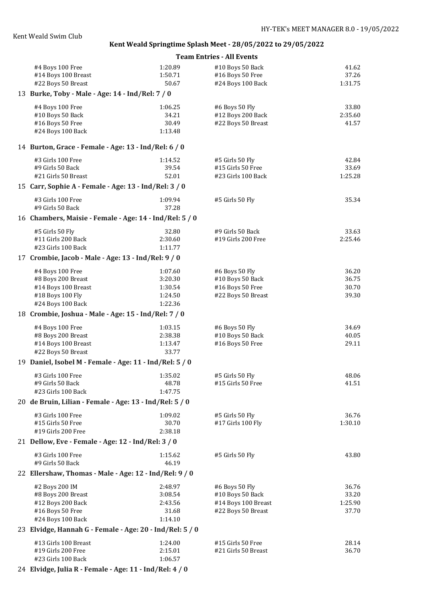#### **Team Entries - All Events**

| #4 Boys 100 Free                                         | 1:20.89 | #10 Boys 50 Back    | 41.62   |
|----------------------------------------------------------|---------|---------------------|---------|
| #14 Boys 100 Breast                                      | 1:50.71 | #16 Boys 50 Free    | 37.26   |
| #22 Boys 50 Breast                                       | 50.67   | #24 Boys 100 Back   | 1:31.75 |
| 13 Burke, Toby - Male - Age: 14 - Ind/Rel: 7 / 0         |         |                     |         |
| #4 Boys 100 Free                                         | 1:06.25 | #6 Boys 50 Fly      | 33.80   |
| #10 Boys 50 Back                                         | 34.21   | #12 Boys 200 Back   | 2:35.60 |
| #16 Boys 50 Free                                         | 30.49   | #22 Boys 50 Breast  | 41.57   |
| #24 Boys 100 Back                                        | 1:13.48 |                     |         |
|                                                          |         |                     |         |
| 14 Burton, Grace - Female - Age: 13 - Ind/Rel: 6 / 0     |         |                     |         |
| #3 Girls 100 Free                                        | 1:14.52 | #5 Girls 50 Fly     | 42.84   |
| #9 Girls 50 Back                                         | 39.54   | #15 Girls 50 Free   | 33.69   |
| #21 Girls 50 Breast                                      | 52.01   | #23 Girls 100 Back  | 1:25.28 |
| 15 Carr, Sophie A - Female - Age: 13 - Ind/Rel: 3 / 0    |         |                     |         |
| #3 Girls 100 Free                                        | 1:09.94 | #5 Girls 50 Fly     | 35.34   |
| #9 Girls 50 Back                                         | 37.28   |                     |         |
| 16 Chambers, Maisie - Female - Age: 14 - Ind/Rel: 5 / 0  |         |                     |         |
| #5 Girls 50 Fly                                          | 32.80   | #9 Girls 50 Back    | 33.63   |
| #11 Girls 200 Back                                       | 2:30.60 | #19 Girls 200 Free  | 2:25.46 |
| #23 Girls 100 Back                                       | 1:11.77 |                     |         |
| 17 Crombie, Jacob - Male - Age: 13 - Ind/Rel: 9 / 0      |         |                     |         |
| #4 Boys 100 Free                                         | 1:07.60 | #6 Boys 50 Fly      | 36.20   |
| #8 Boys 200 Breast                                       | 3:20.30 | #10 Boys 50 Back    | 36.75   |
| #14 Boys 100 Breast                                      | 1:30.54 | #16 Boys 50 Free    | 30.70   |
| #18 Boys 100 Fly                                         | 1:24.50 | #22 Boys 50 Breast  | 39.30   |
| #24 Boys 100 Back                                        | 1:22.36 |                     |         |
| 18 Crombie, Joshua - Male - Age: 15 - Ind/Rel: 7 / 0     |         |                     |         |
| #4 Boys 100 Free                                         | 1:03.15 | #6 Boys 50 Fly      | 34.69   |
| #8 Boys 200 Breast                                       | 2:38.38 | #10 Boys 50 Back    | 40.05   |
| #14 Boys 100 Breast                                      | 1:13.47 | #16 Boys 50 Free    | 29.11   |
| #22 Boys 50 Breast                                       | 33.77   |                     |         |
| 19 Daniel, Isobel M - Female - Age: 11 - Ind/Rel: 5 / 0  |         |                     |         |
| #3 Girls 100 Free                                        | 1:35.02 | #5 Girls 50 Fly     | 48.06   |
| #9 Girls 50 Back                                         | 48.78   | #15 Girls 50 Free   | 41.51   |
| #23 Girls 100 Back                                       | 1:47.75 |                     |         |
| 20 de Bruin, Lilian - Female - Age: 13 - Ind/Rel: 5 / 0  |         |                     |         |
|                                                          |         |                     |         |
| #3 Girls 100 Free                                        | 1:09.02 | #5 Girls 50 Fly     | 36.76   |
| #15 Girls 50 Free                                        | 30.70   | #17 Girls 100 Fly   | 1:30.10 |
| #19 Girls 200 Free                                       | 2:38.18 |                     |         |
| 21 Dellow, Eve - Female - Age: 12 - Ind/Rel: 3 / 0       |         |                     |         |
| #3 Girls 100 Free                                        | 1:15.62 | #5 Girls 50 Fly     | 43.80   |
| #9 Girls 50 Back                                         | 46.19   |                     |         |
| 22 Ellershaw, Thomas - Male - Age: 12 - Ind/Rel: 9 / 0   |         |                     |         |
| #2 Boys 200 IM                                           | 2:48.97 | #6 Boys 50 Fly      | 36.76   |
| #8 Boys 200 Breast                                       | 3:08.54 | #10 Boys 50 Back    | 33.20   |
| #12 Boys 200 Back                                        | 2:43.56 | #14 Boys 100 Breast | 1:25.90 |
| #16 Boys 50 Free                                         | 31.68   | #22 Boys 50 Breast  | 37.70   |
| #24 Boys 100 Back                                        | 1:14.10 |                     |         |
| 23 Elvidge, Hannah G - Female - Age: 20 - Ind/Rel: 5 / 0 |         |                     |         |
| #13 Girls 100 Breast                                     | 1:24.00 | #15 Girls 50 Free   | 28.14   |
| #19 Girls 200 Free                                       | 2:15.01 | #21 Girls 50 Breast | 36.70   |
| #23 Girls 100 Back                                       | 1:06.57 |                     |         |

24 **Elvidge, Julia R - Female - Age: 11 - Ind/Rel: 4 / 0**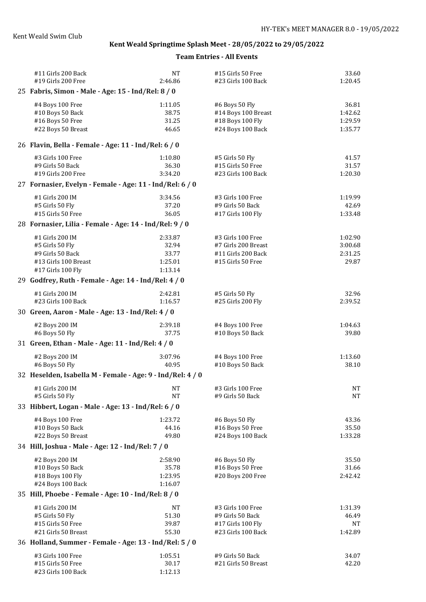| #11 Girls 200 Back                                         | <b>NT</b> | #15 Girls 50 Free   | 33.60     |
|------------------------------------------------------------|-----------|---------------------|-----------|
| #19 Girls 200 Free                                         | 2:46.86   | #23 Girls 100 Back  | 1:20.45   |
| 25 Fabris, Simon - Male - Age: 15 - Ind/Rel: 8 / 0         |           |                     |           |
| #4 Boys 100 Free                                           | 1:11.05   | #6 Boys 50 Fly      | 36.81     |
| #10 Boys 50 Back                                           | 38.75     | #14 Boys 100 Breast | 1:42.62   |
| #16 Boys 50 Free                                           | 31.25     | #18 Boys 100 Fly    | 1:29.59   |
| #22 Boys 50 Breast                                         | 46.65     | #24 Boys 100 Back   | 1:35.77   |
| 26 Flavin, Bella - Female - Age: 11 - Ind/Rel: 6 / 0       |           |                     |           |
| #3 Girls 100 Free                                          | 1:10.80   | #5 Girls 50 Fly     | 41.57     |
| #9 Girls 50 Back                                           | 36.30     | #15 Girls 50 Free   | 31.57     |
| #19 Girls 200 Free                                         | 3:34.20   | #23 Girls 100 Back  | 1:20.30   |
| 27 Fornasier, Evelyn - Female - Age: 11 - Ind/Rel: 6 / 0   |           |                     |           |
| #1 Girls 200 IM                                            | 3:34.56   | #3 Girls 100 Free   | 1:19.99   |
| #5 Girls 50 Fly                                            | 37.20     | #9 Girls 50 Back    | 42.69     |
| #15 Girls 50 Free                                          | 36.05     | #17 Girls 100 Fly   | 1:33.48   |
| 28 Fornasier, Lilia - Female - Age: 14 - Ind/Rel: 9 / 0    |           |                     |           |
| #1 Girls 200 IM                                            | 2:33.87   | #3 Girls 100 Free   | 1:02.90   |
| #5 Girls 50 Fly                                            | 32.94     | #7 Girls 200 Breast | 3:00.68   |
| #9 Girls 50 Back                                           | 33.77     | #11 Girls 200 Back  | 2:31.25   |
| #13 Girls 100 Breast                                       | 1:25.01   | #15 Girls 50 Free   | 29.87     |
| #17 Girls 100 Fly                                          | 1:13.14   |                     |           |
| 29 Godfrey, Ruth - Female - Age: 14 - Ind/Rel: 4 / 0       |           |                     |           |
| #1 Girls 200 IM                                            | 2:42.81   | #5 Girls 50 Fly     | 32.96     |
| #23 Girls 100 Back                                         | 1:16.57   | #25 Girls 200 Fly   | 2:39.52   |
| 30 Green, Aaron - Male - Age: 13 - Ind/Rel: 4 / 0          |           |                     |           |
| #2 Boys 200 IM                                             | 2:39.18   | #4 Boys 100 Free    | 1:04.63   |
| #6 Boys 50 Fly                                             | 37.75     | #10 Boys 50 Back    | 39.80     |
| 31 Green, Ethan - Male - Age: 11 - Ind/Rel: 4 / 0          |           |                     |           |
| #2 Boys 200 IM                                             | 3:07.96   | #4 Boys 100 Free    | 1:13.60   |
| #6 Boys 50 Fly                                             | 40.95     | #10 Boys 50 Back    | 38.10     |
| 32 Heselden, Isabella M - Female - Age: 9 - Ind/Rel: 4 / 0 |           |                     |           |
| #1 Girls 200 IM                                            | NT.       | #3 Girls 100 Free   | <b>NT</b> |
| #5 Girls 50 Fly                                            | NT        | #9 Girls 50 Back    | <b>NT</b> |
| 33 Hibbert, Logan - Male - Age: 13 - Ind/Rel: 6 / 0        |           |                     |           |
| #4 Boys 100 Free                                           | 1:23.72   | #6 Boys 50 Fly      | 43.36     |
| #10 Boys 50 Back                                           | 44.16     | #16 Boys 50 Free    | 35.50     |
| #22 Boys 50 Breast                                         | 49.80     | #24 Boys 100 Back   | 1:33.28   |
| 34 Hill, Joshua - Male - Age: 12 - Ind/Rel: 7 / 0          |           |                     |           |
| #2 Boys 200 IM                                             | 2:58.90   | #6 Boys 50 Fly      | 35.50     |
| #10 Boys 50 Back                                           | 35.78     | #16 Boys 50 Free    | 31.66     |
| #18 Boys 100 Fly                                           | 1:23.95   | #20 Boys 200 Free   | 2:42.42   |
| #24 Boys 100 Back                                          | 1:16.07   |                     |           |
| 35 Hill, Phoebe - Female - Age: 10 - Ind/Rel: 8 / 0        |           |                     |           |
| #1 Girls 200 IM                                            | NT        | #3 Girls 100 Free   | 1:31.39   |
| #5 Girls 50 Fly                                            | 51.30     | #9 Girls 50 Back    | 46.49     |
| #15 Girls 50 Free                                          | 39.87     | #17 Girls 100 Fly   | NT        |
| #21 Girls 50 Breast                                        | 55.30     | #23 Girls 100 Back  | 1:42.89   |
| 36 Holland, Summer - Female - Age: 13 - Ind/Rel: 5 / 0     |           |                     |           |
| #3 Girls 100 Free                                          | 1:05.51   | #9 Girls 50 Back    | 34.07     |
| #15 Girls 50 Free                                          | 30.17     | #21 Girls 50 Breast | 42.20     |
| #23 Girls 100 Back                                         | 1:12.13   |                     |           |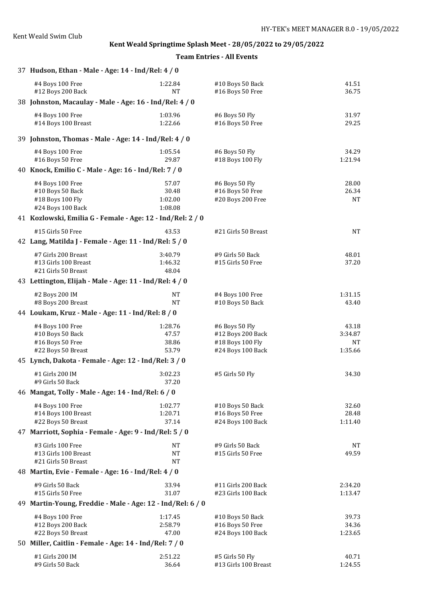| 37 Hudson, Ethan - Male - Age: 14 - Ind/Rel: 4 / 0                             |                                      |                                                                              |                                   |
|--------------------------------------------------------------------------------|--------------------------------------|------------------------------------------------------------------------------|-----------------------------------|
| #4 Boys 100 Free<br>#12 Boys 200 Back                                          | 1:22.84<br><b>NT</b>                 | #10 Boys 50 Back<br>#16 Boys 50 Free                                         | 41.51<br>36.75                    |
| 38 Johnston, Macaulay - Male - Age: 16 - Ind/Rel: 4 / 0                        |                                      |                                                                              |                                   |
| #4 Boys 100 Free<br>#14 Boys 100 Breast                                        | 1:03.96<br>1:22.66                   | #6 Boys 50 Fly<br>#16 Boys 50 Free                                           | 31.97<br>29.25                    |
| 39 Johnston, Thomas - Male - Age: 14 - Ind/Rel: 4 / 0                          |                                      |                                                                              |                                   |
| #4 Boys 100 Free<br>#16 Boys 50 Free                                           | 1:05.54<br>29.87                     | #6 Boys 50 Fly<br>#18 Boys 100 Fly                                           | 34.29<br>1:21.94                  |
| 40 Knock, Emilio C - Male - Age: 16 - Ind/Rel: 7 / 0                           |                                      |                                                                              |                                   |
| #4 Boys 100 Free<br>#10 Boys 50 Back<br>#18 Boys 100 Fly<br>#24 Boys 100 Back  | 57.07<br>30.48<br>1:02.00<br>1:08.08 | #6 Boys 50 Fly<br>#16 Boys 50 Free<br>#20 Boys 200 Free                      | 28.00<br>26.34<br><b>NT</b>       |
| 41 Kozlowski, Emilia G - Female - Age: 12 - Ind/Rel: 2 / 0                     |                                      |                                                                              |                                   |
| #15 Girls 50 Free                                                              | 43.53                                | #21 Girls 50 Breast                                                          | <b>NT</b>                         |
| 42 Lang, Matilda J - Female - Age: 11 - Ind/Rel: 5 / 0                         |                                      |                                                                              |                                   |
| #7 Girls 200 Breast<br>#13 Girls 100 Breast<br>#21 Girls 50 Breast             | 3:40.79<br>1:46.32<br>48.04          | #9 Girls 50 Back<br>#15 Girls 50 Free                                        | 48.01<br>37.20                    |
| 43 Lettington, Elijah - Male - Age: 11 - Ind/Rel: 4 / 0                        |                                      |                                                                              |                                   |
| #2 Boys 200 IM<br>#8 Boys 200 Breast                                           | <b>NT</b><br>NT                      | #4 Boys 100 Free<br>#10 Boys 50 Back                                         | 1:31.15<br>43.40                  |
| 44 Loukam, Kruz - Male - Age: 11 - Ind/Rel: 8 / 0                              |                                      |                                                                              |                                   |
| #4 Boys 100 Free<br>#10 Boys 50 Back<br>#16 Boys 50 Free<br>#22 Boys 50 Breast | 1:28.76<br>47.57<br>38.86<br>53.79   | #6 Boys 50 Fly<br>#12 Boys 200 Back<br>#18 Boys 100 Fly<br>#24 Boys 100 Back | 43.18<br>3:34.87<br>NT<br>1:35.66 |
| 45 Lynch, Dakota - Female - Age: 12 - Ind/Rel: 3 / 0                           |                                      |                                                                              |                                   |
| #1 Girls 200 IM<br>#9 Girls 50 Back                                            | 3:02.23<br>37.20                     | #5 Girls 50 Fly                                                              | 34.30                             |
| 46 Mangat, Tolly - Male - Age: 14 - Ind/Rel: 6 / 0                             |                                      |                                                                              |                                   |
| #4 Boys 100 Free<br>#14 Boys 100 Breast<br>#22 Boys 50 Breast                  | 1:02.77<br>1:20.71<br>37.14          | #10 Boys 50 Back<br>#16 Boys 50 Free<br>#24 Boys 100 Back                    | 32.60<br>28.48<br>1:11.40         |
| 47 Marriott, Sophia - Female - Age: 9 - Ind/Rel: 5 / 0                         |                                      |                                                                              |                                   |
| #3 Girls 100 Free<br>#13 Girls 100 Breast<br>#21 Girls 50 Breast               | <b>NT</b><br><b>NT</b><br><b>NT</b>  | #9 Girls 50 Back<br>#15 Girls 50 Free                                        | NT<br>49.59                       |
| 48 Martin, Evie - Female - Age: 16 - Ind/Rel: 4 / 0                            |                                      |                                                                              |                                   |
| #9 Girls 50 Back<br>#15 Girls 50 Free                                          | 33.94<br>31.07                       | #11 Girls 200 Back<br>#23 Girls 100 Back                                     | 2:34.20<br>1:13.47                |
| 49 Martin-Young, Freddie - Male - Age: 12 - Ind/Rel: 6 / 0                     |                                      |                                                                              |                                   |
| #4 Boys 100 Free<br>#12 Boys 200 Back<br>#22 Boys 50 Breast                    | 1:17.45<br>2:58.79<br>47.00          | #10 Boys 50 Back<br>#16 Boys 50 Free<br>#24 Boys 100 Back                    | 39.73<br>34.36<br>1:23.65         |
| 50 Miller, Caitlin - Female - Age: 14 - Ind/Rel: 7 / 0                         |                                      |                                                                              |                                   |
| #1 Girls 200 IM<br>#9 Girls 50 Back                                            | 2:51.22<br>36.64                     | #5 Girls 50 Fly<br>#13 Girls 100 Breast                                      | 40.71<br>1:24.55                  |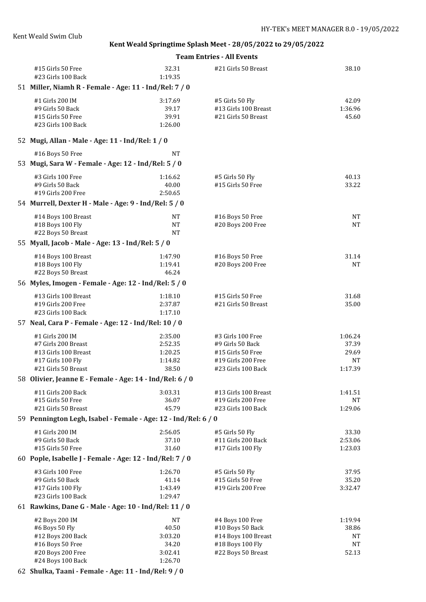#### **Team Entries - All Events**

| #15 Girls 50 Free<br>#23 Girls 100 Back                                        | 32.31<br>1:19.35                     | #21 Girls 50 Breast                                            | 38.10                     |
|--------------------------------------------------------------------------------|--------------------------------------|----------------------------------------------------------------|---------------------------|
| 51 Miller, Niamh R - Female - Age: 11 - Ind/Rel: 7 / 0                         |                                      |                                                                |                           |
| #1 Girls 200 IM<br>#9 Girls 50 Back<br>#15 Girls 50 Free<br>#23 Girls 100 Back | 3:17.69<br>39.17<br>39.91<br>1:26.00 | #5 Girls 50 Fly<br>#13 Girls 100 Breast<br>#21 Girls 50 Breast | 42.09<br>1:36.96<br>45.60 |
| 52 Mugi, Allan - Male - Age: 11 - Ind/Rel: 1 / 0                               |                                      |                                                                |                           |
| #16 Boys 50 Free                                                               | <b>NT</b>                            |                                                                |                           |
| 53 Mugi, Sara W - Female - Age: 12 - Ind/Rel: 5 / 0                            |                                      |                                                                |                           |
| #3 Girls 100 Free<br>#9 Girls 50 Back<br>#19 Girls 200 Free                    | 1:16.62<br>40.00<br>2:50.65          | #5 Girls 50 Fly<br>#15 Girls 50 Free                           | 40.13<br>33.22            |
| 54 Murrell, Dexter H - Male - Age: 9 - Ind/Rel: 5 / 0                          |                                      |                                                                |                           |
| #14 Boys 100 Breast<br>#18 Boys 100 Fly<br>#22 Boys 50 Breast                  | <b>NT</b><br><b>NT</b><br><b>NT</b>  | #16 Boys 50 Free<br>#20 Boys 200 Free                          | <b>NT</b><br><b>NT</b>    |
| 55 Myall, Jacob - Male - Age: 13 - Ind/Rel: 5 / 0                              |                                      |                                                                |                           |
| #14 Boys 100 Breast<br>#18 Boys 100 Fly<br>#22 Boys 50 Breast                  | 1:47.90<br>1:19.41<br>46.24          | #16 Boys 50 Free<br>#20 Boys 200 Free                          | 31.14<br><b>NT</b>        |
| 56 Myles, Imogen - Female - Age: 12 - Ind/Rel: 5 / 0                           |                                      |                                                                |                           |
| #13 Girls 100 Breast<br>#19 Girls 200 Free<br>#23 Girls 100 Back               | 1:18.10<br>2:37.87<br>1:17.10        | #15 Girls 50 Free<br>#21 Girls 50 Breast                       | 31.68<br>35.00            |
| 57 Neal, Cara P - Female - Age: 12 - Ind/Rel: 10 / 0                           |                                      |                                                                |                           |
| #1 Girls 200 IM                                                                | 2:35.00                              | #3 Girls 100 Free                                              | 1:06.24                   |
| #7 Girls 200 Breast                                                            | 2:52.35                              | #9 Girls 50 Back                                               | 37.39                     |
| #13 Girls 100 Breast                                                           | 1:20.25                              | #15 Girls 50 Free                                              | 29.69                     |
| #17 Girls 100 Fly                                                              | 1:14.82                              | #19 Girls 200 Free                                             | <b>NT</b>                 |
| #21 Girls 50 Breast                                                            | 38.50                                | #23 Girls 100 Back                                             | 1:17.39                   |
| 58 Olivier, Jeanne E - Female - Age: 14 - Ind/Rel: 6 / 0                       |                                      |                                                                |                           |
| #11 Girls 200 Back                                                             | 3:03.31                              | #13 Girls 100 Breast                                           | 1:41.51                   |
| #15 Girls 50 Free                                                              | 36.07                                | #19 Girls 200 Free                                             | NT                        |
| #21 Girls 50 Breast                                                            | 45.79                                | #23 Girls 100 Back                                             | 1:29.06                   |
| 59 Pennington Legh, Isabel - Female - Age: 12 - Ind/Rel: 6 / 0                 |                                      |                                                                |                           |
| #1 Girls 200 IM                                                                | 2:56.05                              | #5 Girls 50 Fly                                                | 33.30                     |
| #9 Girls 50 Back                                                               | 37.10                                | #11 Girls 200 Back                                             | 2:53.06                   |
| #15 Girls 50 Free                                                              | 31.60                                | #17 Girls 100 Fly                                              | 1:23.03                   |
| 60 Pople, Isabelle J - Female - Age: 12 - Ind/Rel: 7 / 0                       |                                      |                                                                |                           |
| #3 Girls 100 Free                                                              | 1:26.70                              | #5 Girls 50 Fly                                                | 37.95                     |
| #9 Girls 50 Back                                                               | 41.14                                | #15 Girls 50 Free                                              | 35.20                     |
| #17 Girls 100 Fly<br>#23 Girls 100 Back                                        | 1:43.49<br>1:29.47                   | #19 Girls 200 Free                                             | 3:32.47                   |
| 61 Rawkins, Dane G - Male - Age: 10 - Ind/Rel: 11 / 0                          |                                      |                                                                |                           |
|                                                                                |                                      |                                                                |                           |
| #2 Boys 200 IM<br>#6 Boys 50 Fly                                               | NT<br>40.50                          | #4 Boys 100 Free<br>#10 Boys 50 Back                           | 1:19.94<br>38.86          |
| #12 Boys 200 Back                                                              | 3:03.20                              | #14 Boys 100 Breast                                            | NT                        |
| #16 Boys 50 Free                                                               | 34.20                                | #18 Boys 100 Fly                                               | NT                        |
| #20 Boys 200 Free                                                              | 3:02.41                              | #22 Boys 50 Breast                                             | 52.13                     |
| #24 Boys 100 Back                                                              | 1:26.70                              |                                                                |                           |

62 **Shulka, Taani - Female - Age: 11 - Ind/Rel: 9 / 0**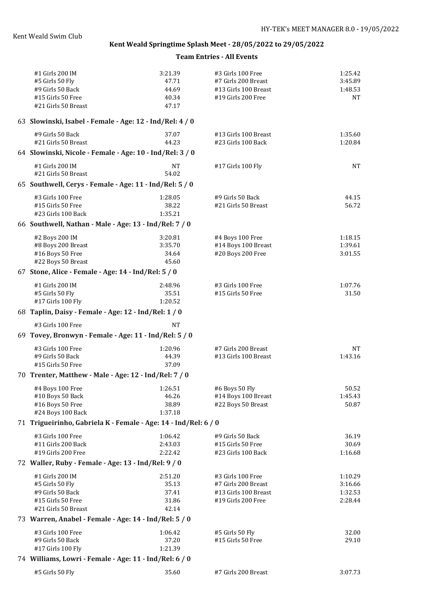| #1 Girls 200 IM<br>#5 Girls 50 Fly<br>#9 Girls 50 Back<br>#15 Girls 50 Free<br>#21 Girls 50 Breast | 3:21.39<br>47.71<br>44.69<br>40.34<br>47.17 | #3 Girls 100 Free<br>#7 Girls 200 Breast<br>#13 Girls 100 Breast<br>#19 Girls 200 Free | 1:25.42<br>3:45.89<br>1:48.53<br><b>NT</b> |
|----------------------------------------------------------------------------------------------------|---------------------------------------------|----------------------------------------------------------------------------------------|--------------------------------------------|
| 63 Slowinski, Isabel - Female - Age: 12 - Ind/Rel: 4 / 0                                           |                                             |                                                                                        |                                            |
| #9 Girls 50 Back<br>#21 Girls 50 Breast                                                            | 37.07<br>44.23                              | #13 Girls 100 Breast<br>#23 Girls 100 Back                                             | 1:35.60<br>1:20.84                         |
| 64 Slowinski, Nicole - Female - Age: 10 - Ind/Rel: 3 / 0                                           |                                             |                                                                                        |                                            |
| #1 Girls 200 IM<br>#21 Girls 50 Breast                                                             | <b>NT</b><br>54.02                          | #17 Girls 100 Fly                                                                      | NT                                         |
| 65 Southwell, Cerys - Female - Age: 11 - Ind/Rel: 5 / 0                                            |                                             |                                                                                        |                                            |
| #3 Girls 100 Free<br>#15 Girls 50 Free<br>#23 Girls 100 Back                                       | 1:28.05<br>38.22<br>1:35.21                 | #9 Girls 50 Back<br>#21 Girls 50 Breast                                                | 44.15<br>56.72                             |
| 66 Southwell, Nathan - Male - Age: 13 - Ind/Rel: 7 / 0                                             |                                             |                                                                                        |                                            |
| #2 Boys 200 IM<br>#8 Boys 200 Breast<br>#16 Boys 50 Free<br>#22 Boys 50 Breast                     | 3:20.81<br>3:35.70<br>34.64<br>45.60        | #4 Boys 100 Free<br>#14 Boys 100 Breast<br>#20 Boys 200 Free                           | 1:18.15<br>1:39.61<br>3:01.55              |
| 67 Stone, Alice - Female - Age: 14 - Ind/Rel: 5 / 0                                                |                                             |                                                                                        |                                            |
| #1 Girls 200 IM<br>#5 Girls 50 Fly<br>#17 Girls 100 Fly                                            | 2:48.96<br>35.51<br>1:20.52                 | #3 Girls 100 Free<br>#15 Girls 50 Free                                                 | 1:07.76<br>31.50                           |
| 68 Taplin, Daisy - Female - Age: 12 - Ind/Rel: 1 / 0                                               |                                             |                                                                                        |                                            |
| #3 Girls 100 Free                                                                                  | <b>NT</b>                                   |                                                                                        |                                            |
| 69 Tovey, Bronwyn - Female - Age: 11 - Ind/Rel: 5 / 0                                              |                                             |                                                                                        |                                            |
| #3 Girls 100 Free<br>#9 Girls 50 Back<br>#15 Girls 50 Free                                         | 1:20.96<br>44.39<br>37.09                   | #7 Girls 200 Breast<br>#13 Girls 100 Breast                                            | NT<br>1:43.16                              |
| 70 Trenter, Matthew - Male - Age: 12 - Ind/Rel: 7 / 0                                              |                                             |                                                                                        |                                            |
| #4 Boys 100 Free<br>#10 Boys 50 Back<br>#16 Boys 50 Free<br>#24 Boys 100 Back                      | 1:26.51<br>46.26<br>38.89<br>1:37.18        | #6 Boys 50 Fly<br>#14 Boys 100 Breast<br>#22 Boys 50 Breast                            | 50.52<br>1:45.43<br>50.87                  |
| 71 Trigueirinho, Gabriela K - Female - Age: 14 - Ind/Rel: 6 / 0                                    |                                             |                                                                                        |                                            |
| #3 Girls 100 Free<br>#11 Girls 200 Back<br>#19 Girls 200 Free                                      | 1:06.42<br>2:43.03<br>2:22.42               | #9 Girls 50 Back<br>#15 Girls 50 Free<br>#23 Girls 100 Back                            | 36.19<br>30.69<br>1:16.68                  |
| 72 Waller, Ruby - Female - Age: 13 - Ind/Rel: 9 / 0                                                |                                             |                                                                                        |                                            |
| #1 Girls 200 IM<br>#5 Girls 50 Fly<br>#9 Girls 50 Back<br>#15 Girls 50 Free<br>#21 Girls 50 Breast | 2:51.20<br>35.13<br>37.41<br>31.86<br>42.14 | #3 Girls 100 Free<br>#7 Girls 200 Breast<br>#13 Girls 100 Breast<br>#19 Girls 200 Free | 1:10.29<br>3:16.66<br>1:32.53<br>2:28.44   |
| 73 Warren, Anabel - Female - Age: 14 - Ind/Rel: 5 / 0                                              |                                             |                                                                                        |                                            |
| #3 Girls 100 Free<br>#9 Girls 50 Back<br>#17 Girls 100 Fly                                         | 1:06.42<br>37.20<br>1:21.39                 | #5 Girls 50 Fly<br>#15 Girls 50 Free                                                   | 32.00<br>29.10                             |
| 74 Williams, Lowri - Female - Age: 11 - Ind/Rel: 6 / 0                                             |                                             |                                                                                        |                                            |
| #5 Girls 50 Fly                                                                                    | 35.60                                       | #7 Girls 200 Breast                                                                    | 3:07.73                                    |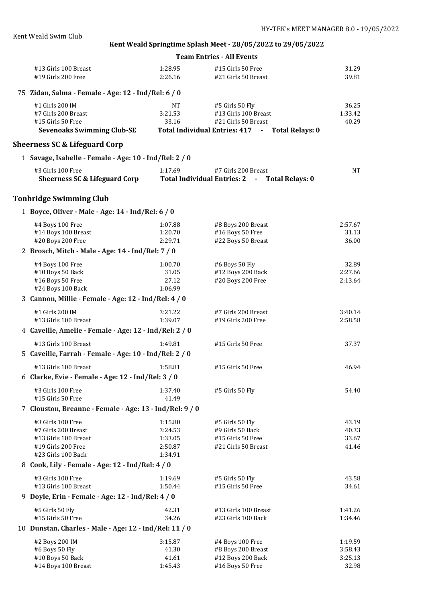| <b>Team Entries - All Events</b>                    |         |                                                    |         |  |  |
|-----------------------------------------------------|---------|----------------------------------------------------|---------|--|--|
| #13 Girls 100 Breast                                | 1:28.95 | #15 Girls 50 Free                                  | 31.29   |  |  |
| $#19$ Girls 200 Free                                | 2:26.16 | #21 Girls 50 Breast                                | 39.81   |  |  |
| 75 Zidan, Salma - Female - Age: 12 - Ind/Rel: 6 / 0 |         |                                                    |         |  |  |
| $#1$ Girls 200 IM                                   | NT      | #5 Girls 50 Fly                                    | 36.25   |  |  |
| #7 Girls 200 Breast                                 | 3:21.53 | #13 Girls 100 Breast                               | 1:33.42 |  |  |
| #15 Girls 50 Free                                   | 33.16   | #21 Girls 50 Breast                                | 40.29   |  |  |
| <b>Sevenoaks Swimming Club-SE</b>                   |         | Total Individual Entries: 417 -<br>Total Relays: 0 |         |  |  |
| .                                                   |         |                                                    |         |  |  |

### **Sheerness SC & Lifeguard Corp**

|  |  | 1 Savage, Isabelle - Female - Age: 10 - Ind/Rel: 2 / 0 |  |  |  |  |  |  |  |  |
|--|--|--------------------------------------------------------|--|--|--|--|--|--|--|--|
|--|--|--------------------------------------------------------|--|--|--|--|--|--|--|--|

| #3 Girls 100 Free             | 1:17.69                            | #7 Girls 200 Breast | NΤ |
|-------------------------------|------------------------------------|---------------------|----|
| Sheerness SC & Lifeguard Corp | <b>Total Individual Entries: 2</b> | Total Relays: 0     |    |

# **Tonbridge Swimming Club**

| 1 Boyce, Oliver - Male - Age: 14 - Ind/Rel: 6 / 0       |         |                      |         |  |
|---------------------------------------------------------|---------|----------------------|---------|--|
| #4 Boys 100 Free                                        | 1:07.88 | #8 Boys 200 Breast   | 2:57.67 |  |
| #14 Boys 100 Breast                                     | 1:20.70 | #16 Boys 50 Free     | 31.13   |  |
| #20 Boys 200 Free                                       | 2:29.71 | #22 Boys 50 Breast   | 36.00   |  |
| 2 Brosch, Mitch - Male - Age: 14 - Ind/Rel: 7 / 0       |         |                      |         |  |
| #4 Boys 100 Free                                        | 1:00.70 | #6 Boys 50 Fly       | 32.89   |  |
| #10 Boys 50 Back                                        | 31.05   | #12 Boys 200 Back    | 2:27.66 |  |
| #16 Boys 50 Free                                        | 27.12   | #20 Boys 200 Free    | 2:13.64 |  |
| #24 Boys 100 Back                                       | 1:06.99 |                      |         |  |
| 3 Cannon, Millie - Female - Age: 12 - Ind/Rel: 4 / 0    |         |                      |         |  |
| #1 Girls 200 IM                                         | 3:21.22 | #7 Girls 200 Breast  | 3:40.14 |  |
| #13 Girls 100 Breast                                    | 1:39.07 | #19 Girls 200 Free   | 2:58.58 |  |
| 4 Caveille, Amelie - Female - Age: 12 - Ind/Rel: 2 / 0  |         |                      |         |  |
| #13 Girls 100 Breast                                    | 1:49.81 | #15 Girls 50 Free    | 37.37   |  |
| 5 Caveille, Farrah - Female - Age: 10 - Ind/Rel: 2 / 0  |         |                      |         |  |
| #13 Girls 100 Breast                                    | 1:58.81 | #15 Girls 50 Free    | 46.94   |  |
| 6 Clarke, Evie - Female - Age: 12 - Ind/Rel: 3 / 0      |         |                      |         |  |
| #3 Girls 100 Free                                       | 1:37.40 | #5 Girls 50 Fly      | 54.40   |  |
| #15 Girls 50 Free                                       | 41.49   |                      |         |  |
| 7 Clouston, Breanne - Female - Age: 13 - Ind/Rel: 9 / 0 |         |                      |         |  |
| #3 Girls 100 Free                                       | 1:15.80 | #5 Girls 50 Fly      | 43.19   |  |
| #7 Girls 200 Breast                                     | 3:24.53 | #9 Girls 50 Back     | 40.33   |  |
| #13 Girls 100 Breast                                    | 1:33.05 | #15 Girls 50 Free    | 33.67   |  |
| #19 Girls 200 Free                                      | 2:50.87 | #21 Girls 50 Breast  | 41.46   |  |
| #23 Girls 100 Back                                      | 1:34.91 |                      |         |  |
| 8 Cook, Lily - Female - Age: 12 - Ind/Rel: 4 / 0        |         |                      |         |  |
| #3 Girls 100 Free                                       | 1:19.69 | #5 Girls 50 Fly      | 43.58   |  |
| #13 Girls 100 Breast                                    | 1:50.44 | #15 Girls 50 Free    | 34.61   |  |
| 9 Doyle, Erin - Female - Age: 12 - Ind/Rel: 4 / 0       |         |                      |         |  |
| #5 Girls 50 Fly                                         | 42.31   | #13 Girls 100 Breast | 1:41.26 |  |
| #15 Girls 50 Free                                       | 34.26   | #23 Girls 100 Back   | 1:34.46 |  |
| 10 Dunstan, Charles - Male - Age: 12 - Ind/Rel: 11 / 0  |         |                      |         |  |
| #2 Boys 200 IM                                          | 3:15.87 | #4 Boys 100 Free     | 1:19.59 |  |
| #6 Boys 50 Fly                                          | 41.30   | #8 Boys 200 Breast   | 3:58.43 |  |
| #10 Boys 50 Back                                        | 41.61   | #12 Boys 200 Back    | 3:25.13 |  |
| #14 Boys 100 Breast                                     | 1:45.43 | #16 Boys 50 Free     | 32.98   |  |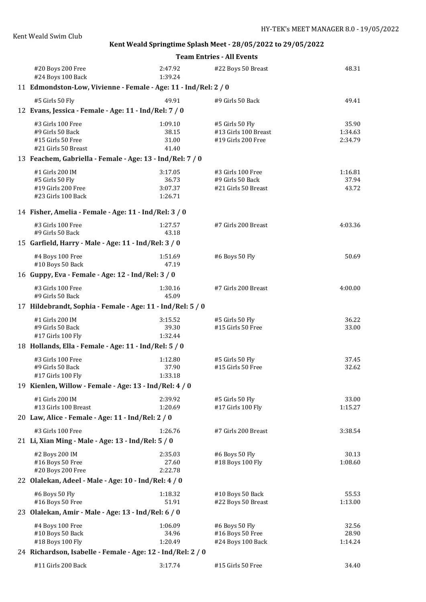|  | <b>Team Entries - All Events</b>                                               |                                                       |                                                               |                             |  |  |  |
|--|--------------------------------------------------------------------------------|-------------------------------------------------------|---------------------------------------------------------------|-----------------------------|--|--|--|
|  | #20 Boys 200 Free<br>#24 Boys 100 Back                                         | 2:47.92<br>1:39.24                                    | #22 Boys 50 Breast                                            | 48.31                       |  |  |  |
|  | 11 Edmondston-Low, Vivienne - Female - Age: 11 - Ind/Rel: 2 / 0                |                                                       |                                                               |                             |  |  |  |
|  | #5 Girls 50 Fly                                                                | 49.91                                                 | #9 Girls 50 Back                                              | 49.41                       |  |  |  |
|  | 12 Evans, Jessica - Female - Age: 11 - Ind/Rel: 7 / 0                          |                                                       |                                                               |                             |  |  |  |
|  | #3 Girls 100 Free<br>#9 Girls 50 Back<br>#15 Girls 50 Free                     | 1:09.10<br>38.15<br>31.00                             | #5 Girls 50 Fly<br>#13 Girls 100 Breast<br>#19 Girls 200 Free | 35.90<br>1:34.63<br>2:34.79 |  |  |  |
|  | #21 Girls 50 Breast                                                            | 41.40                                                 |                                                               |                             |  |  |  |
|  | 13 Feachem, Gabriella - Female - Age: 13 - Ind/Rel: 7 / 0                      |                                                       |                                                               |                             |  |  |  |
|  | #1 Girls 200 IM<br>#5 Girls 50 Fly<br>#19 Girls 200 Free<br>#23 Girls 100 Back | 3:17.05<br>36.73<br>3:07.37<br>1:26.71                | #3 Girls 100 Free<br>#9 Girls 50 Back<br>#21 Girls 50 Breast  | 1:16.81<br>37.94<br>43.72   |  |  |  |
|  |                                                                                | 14 Fisher, Amelia - Female - Age: 11 - Ind/Rel: 3 / 0 |                                                               |                             |  |  |  |
|  | #3 Girls 100 Free<br>#9 Girls 50 Back                                          | 1:27.57<br>43.18                                      | #7 Girls 200 Breast                                           | 4:03.36                     |  |  |  |
|  | 15 Garfield, Harry - Male - Age: 11 - Ind/Rel: 3 / 0                           |                                                       |                                                               |                             |  |  |  |
|  | #4 Boys 100 Free<br>#10 Boys 50 Back                                           | 1:51.69<br>47.19                                      | #6 Boys 50 Fly                                                | 50.69                       |  |  |  |
|  | 16 Guppy, Eva - Female - Age: 12 - Ind/Rel: 3 / 0                              |                                                       |                                                               |                             |  |  |  |
|  | #3 Girls 100 Free<br>#9 Girls 50 Back                                          | 1:30.16<br>45.09                                      | #7 Girls 200 Breast                                           | 4:00.00                     |  |  |  |
|  | 17 Hildebrandt, Sophia - Female - Age: 11 - Ind/Rel: 5 / 0                     |                                                       |                                                               |                             |  |  |  |
|  | #1 Girls 200 IM<br>#9 Girls 50 Back<br>#17 Girls 100 Fly                       | 3:15.52<br>39.30<br>1:32.44                           | #5 Girls 50 Fly<br>#15 Girls 50 Free                          | 36.22<br>33.00              |  |  |  |
|  | 18 Hollands, Ella - Female - Age: 11 - Ind/Rel: 5 / 0                          |                                                       |                                                               |                             |  |  |  |
|  | #3 Girls 100 Free<br>#9 Girls 50 Back<br>#17 Girls 100 Fly                     | 1:12.80<br>37.90<br>1:33.18                           | #5 Girls 50 Fly<br>#15 Girls 50 Free                          | 37.45<br>32.62              |  |  |  |
|  | 19 Kienlen, Willow - Female - Age: 13 - Ind/Rel: 4 / 0                         |                                                       |                                                               |                             |  |  |  |
|  | #1 Girls 200 IM<br>#13 Girls 100 Breast                                        | 2:39.92<br>1:20.69                                    | #5 Girls 50 Fly<br>#17 Girls 100 Fly                          | 33.00<br>1:15.27            |  |  |  |
|  | 20 Law, Alice - Female - Age: 11 - Ind/Rel: 2 / 0                              |                                                       |                                                               |                             |  |  |  |
|  | #3 Girls 100 Free<br>21 Li, Xian Ming - Male - Age: 13 - Ind/Rel: 5 / 0        | 1:26.76                                               | #7 Girls 200 Breast                                           | 3:38.54                     |  |  |  |
|  | #2 Boys 200 IM<br>#16 Boys 50 Free<br>#20 Boys 200 Free                        | 2:35.03<br>27.60<br>2:22.78                           | #6 Boys 50 Fly<br>#18 Boys 100 Fly                            | 30.13<br>1:08.60            |  |  |  |
|  | 22 Olalekan, Adeel - Male - Age: 10 - Ind/Rel: 4 / 0                           |                                                       |                                                               |                             |  |  |  |
|  | #6 Boys 50 Fly<br>#16 Boys 50 Free                                             | 1:18.32<br>51.91                                      | #10 Boys 50 Back<br>#22 Boys 50 Breast                        | 55.53<br>1:13.00            |  |  |  |
|  | 23 Olalekan, Amir - Male - Age: 13 - Ind/Rel: 6 / 0                            |                                                       |                                                               |                             |  |  |  |
|  | #4 Boys 100 Free<br>#10 Boys 50 Back<br>#18 Boys 100 Fly                       | 1:06.09<br>34.96<br>1:20.49                           | #6 Boys 50 Fly<br>#16 Boys 50 Free<br>#24 Boys 100 Back       | 32.56<br>28.90<br>1:14.24   |  |  |  |
|  | 24 Richardson, Isabelle - Female - Age: 12 - Ind/Rel: 2 / 0                    |                                                       |                                                               |                             |  |  |  |
|  | #11 Girls 200 Back                                                             | 3:17.74                                               | #15 Girls 50 Free                                             | 34.40                       |  |  |  |